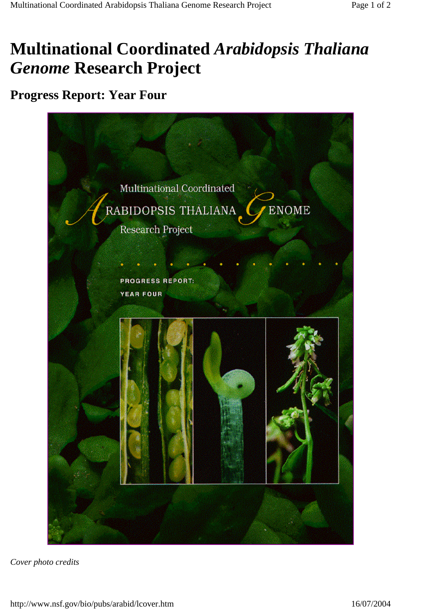# **Multinational Coordinated** *Arabidopsis Thaliana Genome* **Research Project**

# **Progress Report: Year Four**



*Cover photo credits*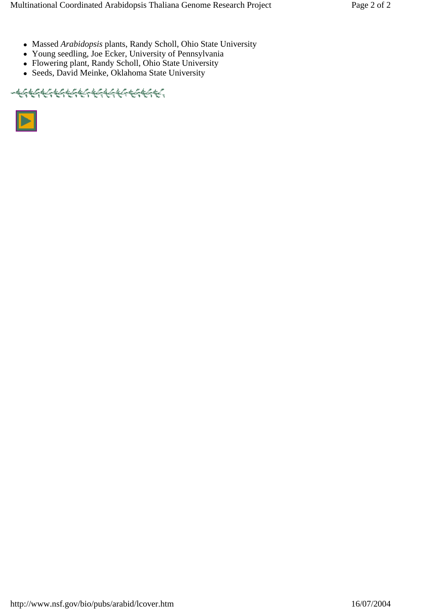- Massed *Arabidopsis* plants, Randy Scholl, Ohio State University
- Young seedling, Joe Ecker, University of Pennsylvania
- Flowering plant, Randy Scholl, Ohio State University
- Seeds, David Meinke, Oklahoma State University

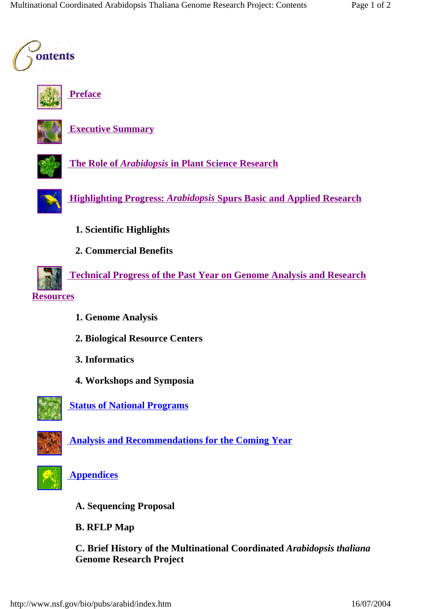



 **Preface** 



 **Executive Summary** 



 **The Role of** *Arabidopsis* **in Plant Science Research** 



 **Highlighting Progress:** *Arabidopsis* **Spurs Basic and Applied Research** 

### **1. Scientific Highlights**

**2. Commercial Benefits** 



- **1. Genome Analysis**
- **2. Biological Resource Centers**
- **3. Informatics**
- **4. Workshops and Symposia**



 **Status of National Programs** 



 **Analysis and Recommendations for the Coming Year** 



 **Appendices** 

- **A. Sequencing Proposal**
- **B. RFLP Map**

**C. Brief History of the Multinational Coordinated** *Arabidopsis thaliana* **Genome Research Project**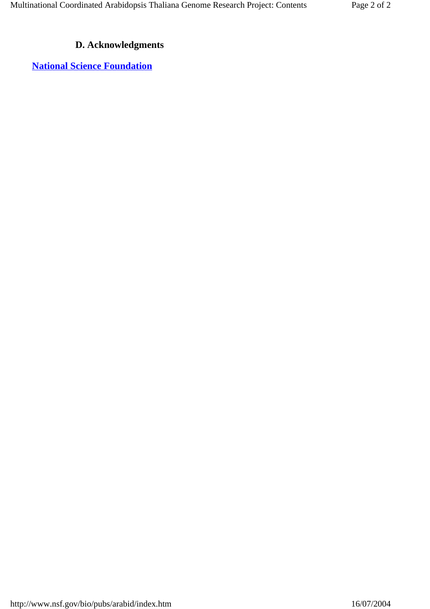### **D. Acknowledgments**

**National Science Foundation**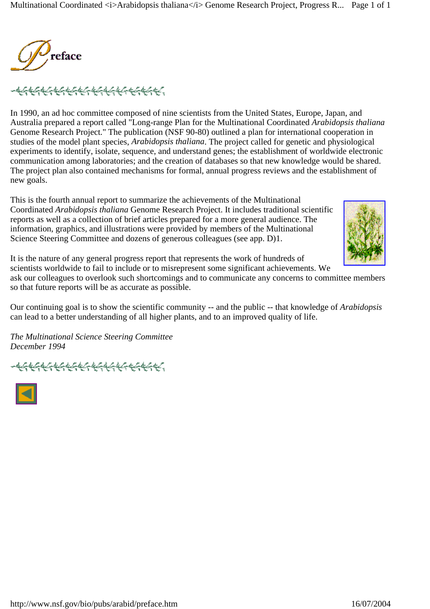

### <del>\{{{{{{{{}}}}{{}}}</del>

In 1990, an ad hoc committee composed of nine scientists from the United States, Europe, Japan, and Australia prepared a report called "Long-range Plan for the Multinational Coordinated *Arabidopsis thaliana* Genome Research Project." The publication (NSF 90-80) outlined a plan for international cooperation in studies of the model plant species, *Arabidopsis thaliana*. The project called for genetic and physiological experiments to identify, isolate, sequence, and understand genes; the establishment of worldwide electronic communication among laboratories; and the creation of databases so that new knowledge would be shared. The project plan also contained mechanisms for formal, annual progress reviews and the establishment of new goals.

This is the fourth annual report to summarize the achievements of the Multinational Coordinated *Arabidopsis thaliana* Genome Research Project. It includes traditional scientific reports as well as a collection of brief articles prepared for a more general audience. The information, graphics, and illustrations were provided by members of the Multinational Science Steering Committee and dozens of generous colleagues (see app. D)1.



It is the nature of any general progress report that represents the work of hundreds of scientists worldwide to fail to include or to misrepresent some significant achievements. We ask our colleagues to overlook such shortcomings and to communicate any concerns to committee members so that future reports will be as accurate as possible.

Our continuing goal is to show the scientific community -- and the public -- that knowledge of *Arabidopsis* can lead to a better understanding of all higher plants, and to an improved quality of life.

*The Multinational Science Steering Committee December 1994*



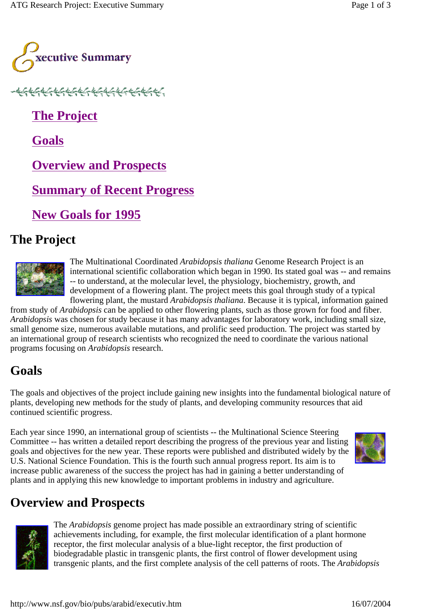

€G&G&G&G&G&G&G&G&G&G&C

**The Project**

**Goals**

**Overview and Prospects**

**Summary of Recent Progress**

**New Goals for 1995**

### **The Project**



The Multinational Coordinated *Arabidopsis thaliana* Genome Research Project is an international scientific collaboration which began in 1990. Its stated goal was -- and remains -- to understand, at the molecular level, the physiology, biochemistry, growth, and development of a flowering plant. The project meets this goal through study of a typical flowering plant, the mustard *Arabidopsis thaliana*. Because it is typical, information gained

from study of *Arabidopsis* can be applied to other flowering plants, such as those grown for food and fiber. *Arabidopsis* was chosen for study because it has many advantages for laboratory work, including small size, small genome size, numerous available mutations, and prolific seed production. The project was started by an international group of research scientists who recognized the need to coordinate the various national programs focusing on *Arabidopsis* research.

# **Goals**

The goals and objectives of the project include gaining new insights into the fundamental biological nature of plants, developing new methods for the study of plants, and developing community resources that aid continued scientific progress.

Each year since 1990, an international group of scientists -- the Multinational Science Steering Committee -- has written a detailed report describing the progress of the previous year and listing goals and objectives for the new year. These reports were published and distributed widely by the U.S. National Science Foundation. This is the fourth such annual progress report. Its aim is to increase public awareness of the success the project has had in gaining a better understanding of plants and in applying this new knowledge to important problems in industry and agriculture.



# **Overview and Prospects**



The *Arabidopsis* genome project has made possible an extraordinary string of scientific achievements including, for example, the first molecular identification of a plant hormone receptor, the first molecular analysis of a blue-light receptor, the first production of biodegradable plastic in transgenic plants, the first control of flower development using transgenic plants, and the first complete analysis of the cell patterns of roots. The *Arabidopsis*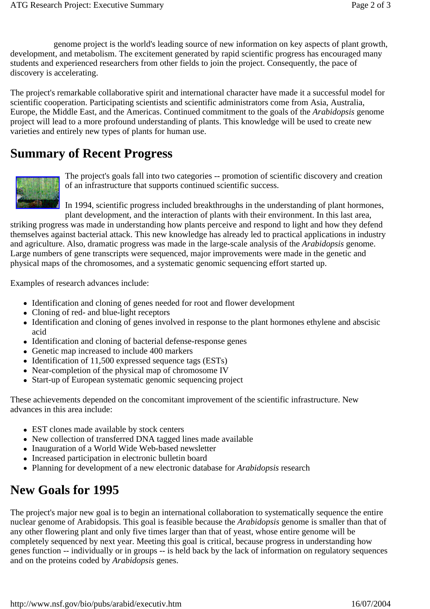genome project is the world's leading source of new information on key aspects of plant growth, development, and metabolism. The excitement generated by rapid scientific progress has encouraged many students and experienced researchers from other fields to join the project. Consequently, the pace of discovery is accelerating.

The project's remarkable collaborative spirit and international character have made it a successful model for scientific cooperation. Participating scientists and scientific administrators come from Asia, Australia, Europe, the Middle East, and the Americas. Continued commitment to the goals of the *Arabidopsis* genome project will lead to a more profound understanding of plants. This knowledge will be used to create new varieties and entirely new types of plants for human use.

### **Summary of Recent Progress**



The project's goals fall into two categories -- promotion of scientific discovery and creation of an infrastructure that supports continued scientific success.

In 1994, scientific progress included breakthroughs in the understanding of plant hormones, plant development, and the interaction of plants with their environment. In this last area,

striking progress was made in understanding how plants perceive and respond to light and how they defend themselves against bacterial attack. This new knowledge has already led to practical applications in industry and agriculture. Also, dramatic progress was made in the large-scale analysis of the *Arabidopsis* genome. Large numbers of gene transcripts were sequenced, major improvements were made in the genetic and physical maps of the chromosomes, and a systematic genomic sequencing effort started up.

Examples of research advances include:

- Identification and cloning of genes needed for root and flower development
- Cloning of red- and blue-light receptors
- Identification and cloning of genes involved in response to the plant hormones ethylene and abscisic acid
- Identification and cloning of bacterial defense-response genes
- Genetic map increased to include 400 markers
- Identification of  $11.500$  expressed sequence tags (ESTs)
- Near-completion of the physical map of chromosome IV
- Start-up of European systematic genomic sequencing project

These achievements depended on the concomitant improvement of the scientific infrastructure. New advances in this area include:

- EST clones made available by stock centers
- New collection of transferred DNA tagged lines made available
- Inauguration of a World Wide Web-based newsletter
- Increased participation in electronic bulletin board
- Planning for development of a new electronic database for *Arabidopsis* research

### **New Goals for 1995**

The project's major new goal is to begin an international collaboration to systematically sequence the entire nuclear genome of Arabidopsis. This goal is feasible because the *Arabidopsis* genome is smaller than that of any other flowering plant and only five times larger than that of yeast, whose entire genome will be completely sequenced by next year. Meeting this goal is critical, because progress in understanding how genes function -- individually or in groups -- is held back by the lack of information on regulatory sequences and on the proteins coded by *Arabidopsis* genes.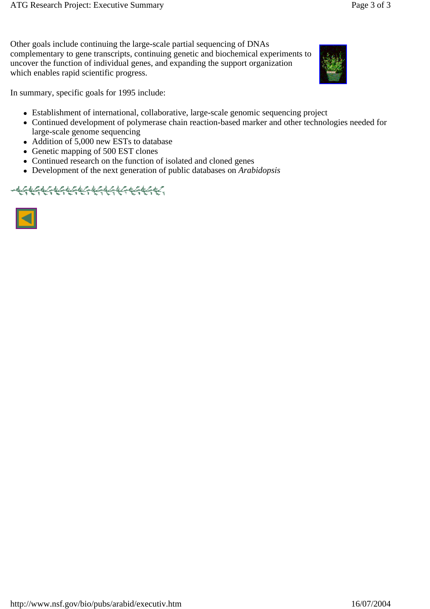Other goals include continuing the large-scale partial sequencing of DNAs complementary to gene transcripts, continuing genetic and biochemical experiments to uncover the function of individual genes, and expanding the support organization which enables rapid scientific progress.



In summary, specific goals for 1995 include:

- Establishment of international, collaborative, large-scale genomic sequencing project
- Continued development of polymerase chain reaction-based marker and other technologies needed for large-scale genome sequencing
- Addition of 5,000 new ESTs to database
- Genetic mapping of 500 EST clones
- Continued research on the function of isolated and cloned genes
- Development of the next generation of public databases on *Arabidopsis*

### 

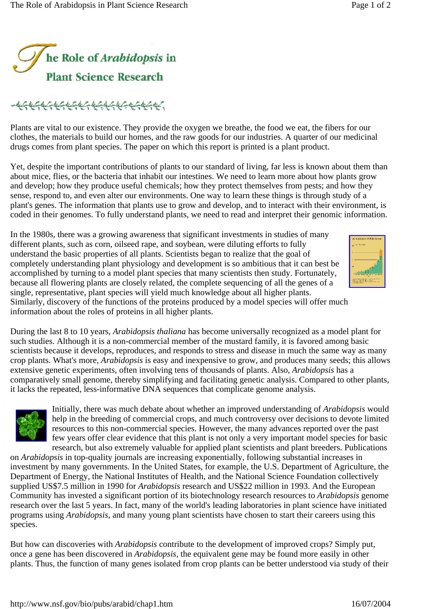

## \$4\$4\$\$\$\$\$4\$4\$4\$\$\$\$\$\$\$\$\$

Plants are vital to our existence. They provide the oxygen we breathe, the food we eat, the fibers for our clothes, the materials to build our homes, and the raw goods for our industries. A quarter of our medicinal drugs comes from plant species. The paper on which this report is printed is a plant product.

Yet, despite the important contributions of plants to our standard of living, far less is known about them than about mice, flies, or the bacteria that inhabit our intestines. We need to learn more about how plants grow and develop; how they produce useful chemicals; how they protect themselves from pests; and how they sense, respond to, and even alter our environments. One way to learn these things is through study of a plant's genes. The information that plants use to grow and develop, and to interact with their environment, is coded in their genomes. To fully understand plants, we need to read and interpret their genomic information.

In the 1980s, there was a growing awareness that significant investments in studies of many different plants, such as corn, oilseed rape, and soybean, were diluting efforts to fully understand the basic properties of all plants. Scientists began to realize that the goal of completely understanding plant physiology and development is so ambitious that it can best be accomplished by turning to a model plant species that many scientists then study. Fortunately, because all flowering plants are closely related, the complete sequencing of all the genes of a single, representative, plant species will yield much knowledge about all higher plants.



Similarly, discovery of the functions of the proteins produced by a model species will offer much information about the roles of proteins in all higher plants.

During the last 8 to 10 years, *Arabidopsis thaliana* has become universally recognized as a model plant for such studies. Although it is a non-commercial member of the mustard family, it is favored among basic scientists because it develops, reproduces, and responds to stress and disease in much the same way as many crop plants. What's more, *Arabidopsis* is easy and inexpensive to grow, and produces many seeds; this allows extensive genetic experiments, often involving tens of thousands of plants. Also, *Arabidopsis* has a comparatively small genome, thereby simplifying and facilitating genetic analysis. Compared to other plants, it lacks the repeated, less-informative DNA sequences that complicate genome analysis.



Initially, there was much debate about whether an improved understanding of *Arabidopsis* would help in the breeding of commercial crops, and much controversy over decisions to devote limited resources to this non-commercial species. However, the many advances reported over the past few years offer clear evidence that this plant is not only a very important model species for basic research, but also extremely valuable for applied plant scientists and plant breeders. Publications

on *Arabidopsis* in top-quality journals are increasing exponentially, following substantial increases in investment by many governments. In the United States, for example, the U.S. Department of Agriculture, the Department of Energy, the National Institutes of Health, and the National Science Foundation collectively supplied US\$7.5 million in 1990 for *Arabidopsis* research and US\$22 million in 1993. And the European Community has invested a significant portion of its biotechnology research resources to *Arabidopsis* genome research over the last 5 years. In fact, many of the world's leading laboratories in plant science have initiated programs using *Arabidopsis*, and many young plant scientists have chosen to start their careers using this species.

But how can discoveries with *Arabidopsis* contribute to the development of improved crops? Simply put, once a gene has been discovered in *Arabidopsis*, the equivalent gene may be found more easily in other plants. Thus, the function of many genes isolated from crop plants can be better understood via study of their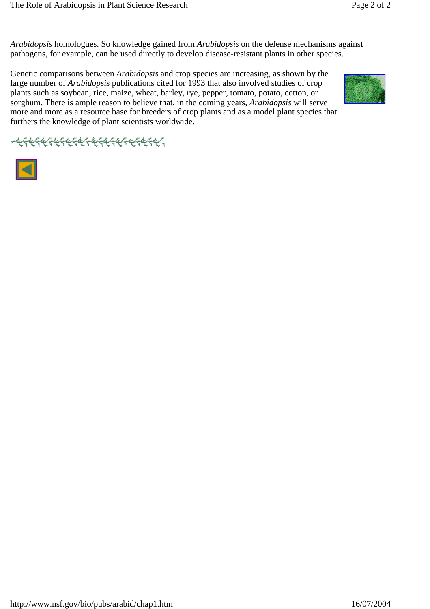*Arabidopsis* homologues. So knowledge gained from *Arabidopsis* on the defense mechanisms against pathogens, for example, can be used directly to develop disease-resistant plants in other species.

Genetic comparisons between *Arabidopsis* and crop species are increasing, as shown by the large number of *Arabidopsis* publications cited for 1993 that also involved studies of crop plants such as soybean, rice, maize, wheat, barley, rye, pepper, tomato, potato, cotton, or sorghum. There is ample reason to believe that, in the coming years, *Arabidopsis* will serve more and more as a resource base for breeders of crop plants and as a model plant species that furthers the knowledge of plant scientists worldwide.



 $-444444444444444444444444$ 

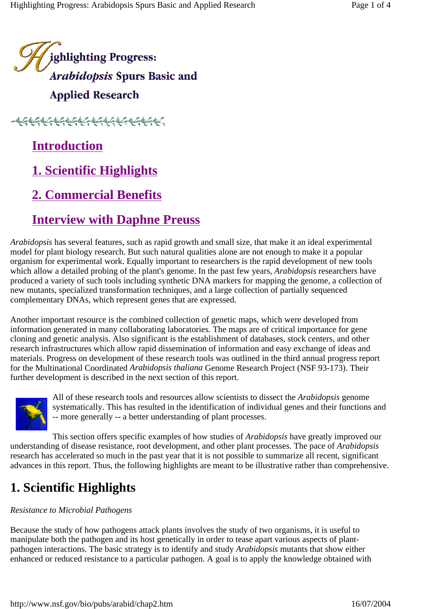# Jehlighting Progress: Arabidopsis Spurs Basic and **Applied Research**

### \<del>&&&&&&&&&&&&&&</del>&&&&&&&

### **Introduction**

### **1. Scientific Highlights**

### **2. Commercial Benefits**

### **Interview with Daphne Preuss**

*Arabidopsis* has several features, such as rapid growth and small size, that make it an ideal experimental model for plant biology research. But such natural qualities alone are not enough to make it a popular organism for experimental work. Equally important to researchers is the rapid development of new tools which allow a detailed probing of the plant's genome. In the past few years, *Arabidopsis* researchers have produced a variety of such tools including synthetic DNA markers for mapping the genome, a collection of new mutants, specialized transformation techniques, and a large collection of partially sequenced complementary DNAs, which represent genes that are expressed.

Another important resource is the combined collection of genetic maps, which were developed from information generated in many collaborating laboratories. The maps are of critical importance for gene cloning and genetic analysis. Also significant is the establishment of databases, stock centers, and other research infrastructures which allow rapid dissemination of information and easy exchange of ideas and materials. Progress on development of these research tools was outlined in the third annual progress report for the Multinational Coordinated *Arabidopsis thaliana* Genome Research Project (NSF 93-173). Their further development is described in the next section of this report.



All of these research tools and resources allow scientists to dissect the *Arabidopsis* genome systematically. This has resulted in the identification of individual genes and their functions and -- more generally -- a better understanding of plant processes.

This section offers specific examples of how studies of *Arabidopsis* have greatly improved our understanding of disease resistance, root development, and other plant processes. The pace of *Arabidopsis* research has accelerated so much in the past year that it is not possible to summarize all recent, significant advances in this report. Thus, the following highlights are meant to be illustrative rather than comprehensive.

# **1. Scientific Highlights**

### *Resistance to Microbial Pathogens*

Because the study of how pathogens attack plants involves the study of two organisms, it is useful to manipulate both the pathogen and its host genetically in order to tease apart various aspects of plantpathogen interactions. The basic strategy is to identify and study *Arabidopsis* mutants that show either enhanced or reduced resistance to a particular pathogen. A goal is to apply the knowledge obtained with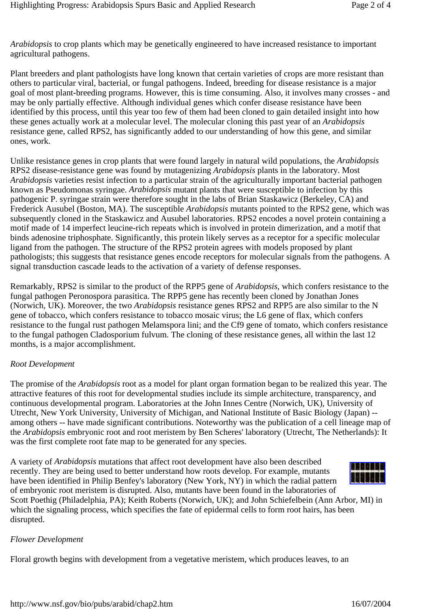*Arabidopsis* to crop plants which may be genetically engineered to have increased resistance to important agricultural pathogens.

Plant breeders and plant pathologists have long known that certain varieties of crops are more resistant than others to particular viral, bacterial, or fungal pathogens. Indeed, breeding for disease resistance is a major goal of most plant-breeding programs. However, this is time consuming. Also, it involves many crosses - and may be only partially effective. Although individual genes which confer disease resistance have been identified by this process, until this year too few of them had been cloned to gain detailed insight into how these genes actually work at a molecular level. The molecular cloning this past year of an *Arabidopsis* resistance gene, called RPS2, has significantly added to our understanding of how this gene, and similar ones, work.

Unlike resistance genes in crop plants that were found largely in natural wild populations, the *Arabidopsis* RPS2 disease-resistance gene was found by mutagenizing *Arabidopsis* plants in the laboratory. Most *Arabidopsis* varieties resist infection to a particular strain of the agriculturally important bacterial pathogen known as Pseudomonas syringae. *Arabidopsis* mutant plants that were susceptible to infection by this pathogenic P. syringae strain were therefore sought in the labs of Brian Staskawicz (Berkeley, CA) and Frederick Ausubel (Boston, MA). The susceptible *Arabidopsis* mutants pointed to the RPS2 gene, which was subsequently cloned in the Staskawicz and Ausubel laboratories. RPS2 encodes a novel protein containing a motif made of 14 imperfect leucine-rich repeats which is involved in protein dimerization, and a motif that binds adenosine triphosphate. Significantly, this protein likely serves as a receptor for a specific molecular ligand from the pathogen. The structure of the RPS2 protein agrees with models proposed by plant pathologists; this suggests that resistance genes encode receptors for molecular signals from the pathogens. A signal transduction cascade leads to the activation of a variety of defense responses.

Remarkably, RPS2 is similar to the product of the RPP5 gene of *Arabidopsis*, which confers resistance to the fungal pathogen Peronospora parasitica. The RPP5 gene has recently been cloned by Jonathan Jones (Norwich, UK). Moreover, the two *Arabidopsis* resistance genes RPS2 and RPP5 are also similar to the N gene of tobacco, which confers resistance to tobacco mosaic virus; the L6 gene of flax, which confers resistance to the fungal rust pathogen Melamspora lini; and the Cf9 gene of tomato, which confers resistance to the fungal pathogen Cladosporium fulvum. The cloning of these resistance genes, all within the last 12 months, is a major accomplishment.

#### *Root Development*

The promise of the *Arabidopsis* root as a model for plant organ formation began to be realized this year. The attractive features of this root for developmental studies include its simple architecture, transparency, and continuous developmental program. Laboratories at the John Innes Centre (Norwich, UK), University of Utrecht, New York University, University of Michigan, and National Institute of Basic Biology (Japan) - among others -- have made significant contributions. Noteworthy was the publication of a cell lineage map of the *Arabidopsis* embryonic root and root meristem by Ben Scheres' laboratory (Utrecht, The Netherlands): It was the first complete root fate map to be generated for any species.

A variety of *Arabidopsis* mutations that affect root development have also been described recently. They are being used to better understand how roots develop. For example, mutants have been identified in Philip Benfey's laboratory (New York, NY) in which the radial pattern of embryonic root meristem is disrupted. Also, mutants have been found in the laboratories of

- そうきは自分を **BUILDING** 

Scott Poethig (Philadelphia, PA); Keith Roberts (Norwich, UK); and John Schiefelbein (Ann Arbor, MI) in which the signaling process, which specifies the fate of epidermal cells to form root hairs, has been disrupted.

#### *Flower Development*

Floral growth begins with development from a vegetative meristem, which produces leaves, to an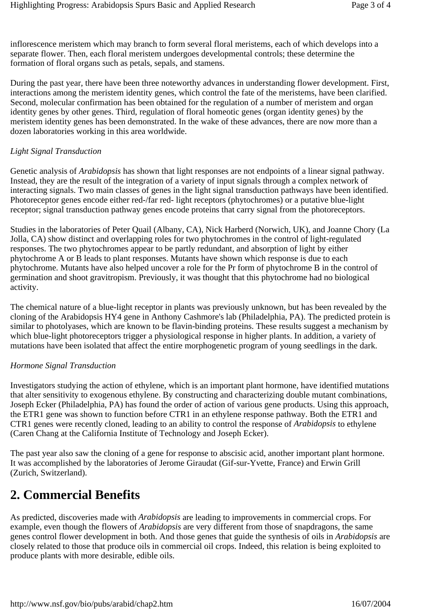inflorescence meristem which may branch to form several floral meristems, each of which develops into a separate flower. Then, each floral meristem undergoes developmental controls; these determine the formation of floral organs such as petals, sepals, and stamens.

During the past year, there have been three noteworthy advances in understanding flower development. First, interactions among the meristem identity genes, which control the fate of the meristems, have been clarified. Second, molecular confirmation has been obtained for the regulation of a number of meristem and organ identity genes by other genes. Third, regulation of floral homeotic genes (organ identity genes) by the meristem identity genes has been demonstrated. In the wake of these advances, there are now more than a dozen laboratories working in this area worldwide.

#### *Light Signal Transduction*

Genetic analysis of *Arabidopsis* has shown that light responses are not endpoints of a linear signal pathway. Instead, they are the result of the integration of a variety of input signals through a complex network of interacting signals. Two main classes of genes in the light signal transduction pathways have been identified. Photoreceptor genes encode either red-/far red- light receptors (phytochromes) or a putative blue-light receptor; signal transduction pathway genes encode proteins that carry signal from the photoreceptors.

Studies in the laboratories of Peter Quail (Albany, CA), Nick Harberd (Norwich, UK), and Joanne Chory (La Jolla, CA) show distinct and overlapping roles for two phytochromes in the control of light-regulated responses. The two phytochromes appear to be partly redundant, and absorption of light by either phytochrome A or B leads to plant responses. Mutants have shown which response is due to each phytochrome. Mutants have also helped uncover a role for the Pr form of phytochrome B in the control of germination and shoot gravitropism. Previously, it was thought that this phytochrome had no biological activity.

The chemical nature of a blue-light receptor in plants was previously unknown, but has been revealed by the cloning of the Arabidopsis HY4 gene in Anthony Cashmore's lab (Philadelphia, PA). The predicted protein is similar to photolyases, which are known to be flavin-binding proteins. These results suggest a mechanism by which blue-light photoreceptors trigger a physiological response in higher plants. In addition, a variety of mutations have been isolated that affect the entire morphogenetic program of young seedlings in the dark.

#### *Hormone Signal Transduction*

Investigators studying the action of ethylene, which is an important plant hormone, have identified mutations that alter sensitivity to exogenous ethylene. By constructing and characterizing double mutant combinations, Joseph Ecker (Philadelphia, PA) has found the order of action of various gene products. Using this approach, the ETR1 gene was shown to function before CTR1 in an ethylene response pathway. Both the ETR1 and CTR1 genes were recently cloned, leading to an ability to control the response of *Arabidopsis* to ethylene (Caren Chang at the California Institute of Technology and Joseph Ecker).

The past year also saw the cloning of a gene for response to abscisic acid, another important plant hormone. It was accomplished by the laboratories of Jerome Giraudat (Gif-sur-Yvette, France) and Erwin Grill (Zurich, Switzerland).

### **2. Commercial Benefits**

As predicted, discoveries made with *Arabidopsis* are leading to improvements in commercial crops. For example, even though the flowers of *Arabidopsis* are very different from those of snapdragons, the same genes control flower development in both. And those genes that guide the synthesis of oils in *Arabidopsis* are closely related to those that produce oils in commercial oil crops. Indeed, this relation is being exploited to produce plants with more desirable, edible oils.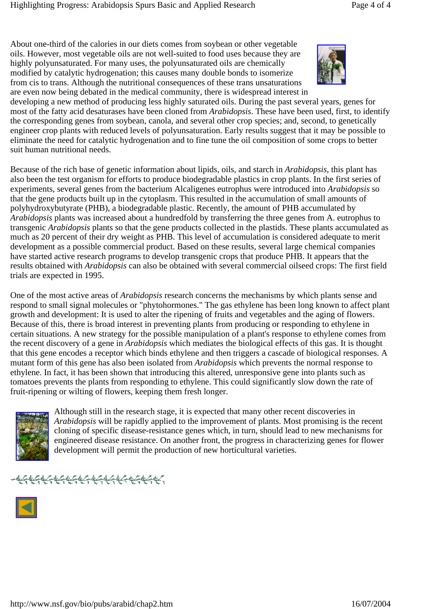About one-third of the calories in our diets comes from soybean or other vegetable oils. However, most vegetable oils are not well-suited to food uses because they are highly polyunsaturated. For many uses, the polyunsaturated oils are chemically modified by catalytic hydrogenation; this causes many double bonds to isomerize from cis to trans. Although the nutritional consequences of these trans unsaturations are even now being debated in the medical community, there is widespread interest in



developing a new method of producing less highly saturated oils. During the past several years, genes for most of the fatty acid desaturases have been cloned from *Arabidopsis*. These have been used, first, to identify the corresponding genes from soybean, canola, and several other crop species; and, second, to genetically engineer crop plants with reduced levels of polyunsaturation. Early results suggest that it may be possible to eliminate the need for catalytic hydrogenation and to fine tune the oil composition of some crops to better suit human nutritional needs.

Because of the rich base of genetic information about lipids, oils, and starch in *Arabidopsis*, this plant has also been the test organism for efforts to produce biodegradable plastics in crop plants. In the first series of experiments, several genes from the bacterium Alcaligenes eutrophus were introduced into *Arabidopsis* so that the gene products built up in the cytoplasm. This resulted in the accumulation of small amounts of polyhydroxybutyrate (PHB), a biodegradable plastic. Recently, the amount of PHB accumulated by *Arabidopsis* plants was increased about a hundredfold by transferring the three genes from A. eutrophus to transgenic *Arabidopsis* plants so that the gene products collected in the plastids. These plants accumulated as much as 20 percent of their dry weight as PHB. This level of accumulation is considered adequate to merit development as a possible commercial product. Based on these results, several large chemical companies have started active research programs to develop transgenic crops that produce PHB. It appears that the results obtained with *Arabidopsis* can also be obtained with several commercial oilseed crops: The first field trials are expected in 1995.

One of the most active areas of *Arabidopsis* research concerns the mechanisms by which plants sense and respond to small signal molecules or "phytohormones." The gas ethylene has been long known to affect plant growth and development: It is used to alter the ripening of fruits and vegetables and the aging of flowers. Because of this, there is broad interest in preventing plants from producing or responding to ethylene in certain situations. A new strategy for the possible manipulation of a plant's response to ethylene comes from the recent discovery of a gene in *Arabidopsis* which mediates the biological effects of this gas. It is thought that this gene encodes a receptor which binds ethylene and then triggers a cascade of biological responses. A mutant form of this gene has also been isolated from *Arabidopsis* which prevents the normal response to ethylene. In fact, it has been shown that introducing this altered, unresponsive gene into plants such as tomatoes prevents the plants from responding to ethylene. This could significantly slow down the rate of fruit-ripening or wilting of flowers, keeping them fresh longer.



Although still in the research stage, it is expected that many other recent discoveries in *Arabidopsis* will be rapidly applied to the improvement of plants. Most promising is the recent cloning of specific disease-resistance genes which, in turn, should lead to new mechanisms for engineered disease resistance. On another front, the progress in characterizing genes for flower development will permit the production of new horticultural varieties.

### <u> 44444444444444444</u>

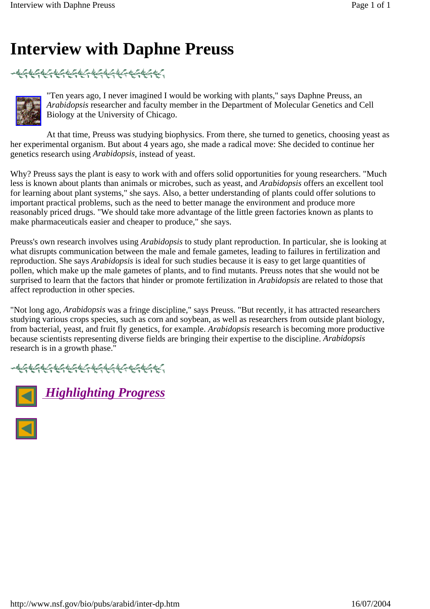# **Interview with Daphne Preuss**

### <del>੶ૡૡૡૡૡૡૡૡૡૡૡૡૡૡ</del>



"Ten years ago, I never imagined I would be working with plants," says Daphne Preuss, an *Arabidopsis* researcher and faculty member in the Department of Molecular Genetics and Cell Biology at the University of Chicago.

At that time, Preuss was studying biophysics. From there, she turned to genetics, choosing yeast as her experimental organism. But about 4 years ago, she made a radical move: She decided to continue her genetics research using *Arabidopsis*, instead of yeast.

Why? Preuss says the plant is easy to work with and offers solid opportunities for young researchers. "Much" less is known about plants than animals or microbes, such as yeast, and *Arabidopsis* offers an excellent tool for learning about plant systems," she says. Also, a better understanding of plants could offer solutions to important practical problems, such as the need to better manage the environment and produce more reasonably priced drugs. "We should take more advantage of the little green factories known as plants to make pharmaceuticals easier and cheaper to produce," she says.

Preuss's own research involves using *Arabidopsis* to study plant reproduction. In particular, she is looking at what disrupts communication between the male and female gametes, leading to failures in fertilization and reproduction. She says *Arabidopsis* is ideal for such studies because it is easy to get large quantities of pollen, which make up the male gametes of plants, and to find mutants. Preuss notes that she would not be surprised to learn that the factors that hinder or promote fertilization in *Arabidopsis* are related to those that affect reproduction in other species.

"Not long ago, *Arabidopsis* was a fringe discipline," says Preuss. "But recently, it has attracted researchers studying various crops species, such as corn and soybean, as well as researchers from outside plant biology, from bacterial, yeast, and fruit fly genetics, for example. *Arabidopsis* research is becoming more productive because scientists representing diverse fields are bringing their expertise to the discipline. *Arabidopsis* research is in a growth phase."

**-44444444444444444444** 



*Highlighting Progress*

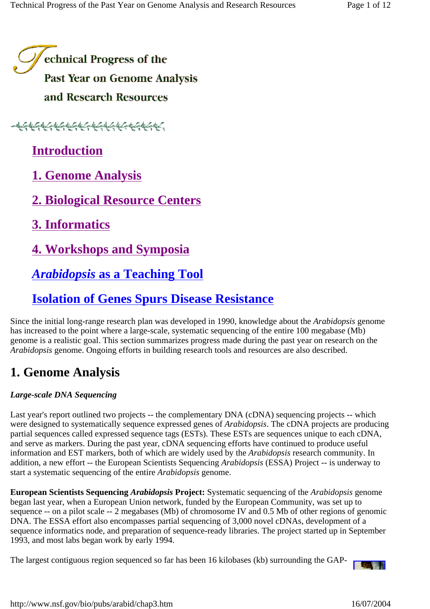# echnical Progress of the Past Year on Genome Analysis and Research Resources

# **-44444444444444444444**

## **Introduction**

- **1. Genome Analysis**
- **2. Biological Resource Centers**
- **3. Informatics**
- **4. Workshops and Symposia**
- *Arabidopsis* **as a Teaching Tool**

# **Isolation of Genes Spurs Disease Resistance**

Since the initial long-range research plan was developed in 1990, knowledge about the *Arabidopsis* genome has increased to the point where a large-scale, systematic sequencing of the entire 100 megabase (Mb) genome is a realistic goal. This section summarizes progress made during the past year on research on the *Arabidopsis* genome. Ongoing efforts in building research tools and resources are also described.

# **1. Genome Analysis**

### *Large-scale DNA Sequencing*

Last year's report outlined two projects -- the complementary DNA (cDNA) sequencing projects -- which were designed to systematically sequence expressed genes of *Arabidopsis*. The cDNA projects are producing partial sequences called expressed sequence tags (ESTs). These ESTs are sequences unique to each cDNA, and serve as markers. During the past year, cDNA sequencing efforts have continued to produce useful information and EST markers, both of which are widely used by the *Arabidopsis* research community. In addition, a new effort -- the European Scientists Sequencing *Arabidopsis* (ESSA) Project -- is underway to start a systematic sequencing of the entire *Arabidopsis* genome.

**European Scientists Sequencing** *Arabidopsis* **Project:** Systematic sequencing of the *Arabidopsis* genome began last year, when a European Union network, funded by the European Community, was set up to sequence -- on a pilot scale -- 2 megabases (Mb) of chromosome IV and 0.5 Mb of other regions of genomic DNA. The ESSA effort also encompasses partial sequencing of 3,000 novel cDNAs, development of a sequence informatics node, and preparation of sequence-ready libraries. The project started up in September 1993, and most labs began work by early 1994.

The largest contiguous region sequenced so far has been 16 kilobases (kb) surrounding the GAP-

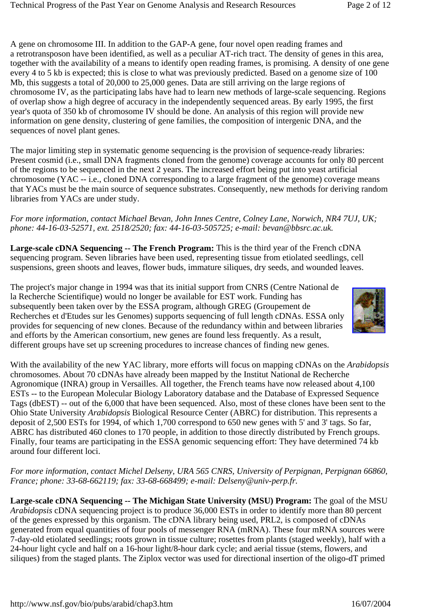A gene on chromosome III. In addition to the GAP-A gene, four novel open reading frames and a retrotransposon have been identified, as well as a peculiar AT-rich tract. The density of genes in this area, together with the availability of a means to identify open reading frames, is promising. A density of one gene every 4 to 5 kb is expected; this is close to what was previously predicted. Based on a genome size of 100 Mb, this suggests a total of 20,000 to 25,000 genes. Data are still arriving on the large regions of chromosome IV, as the participating labs have had to learn new methods of large-scale sequencing. Regions of overlap show a high degree of accuracy in the independently sequenced areas. By early 1995, the first year's quota of 350 kb of chromosome IV should be done. An analysis of this region will provide new information on gene density, clustering of gene families, the composition of intergenic DNA, and the sequences of novel plant genes.

The major limiting step in systematic genome sequencing is the provision of sequence-ready libraries: Present cosmid (i.e., small DNA fragments cloned from the genome) coverage accounts for only 80 percent of the regions to be sequenced in the next 2 years. The increased effort being put into yeast artificial chromosome (YAC -- i.e., cloned DNA corresponding to a large fragment of the genome) coverage means that YACs must be the main source of sequence substrates. Consequently, new methods for deriving random libraries from YACs are under study.

#### *For more information, contact Michael Bevan, John Innes Centre, Colney Lane, Norwich, NR4 7UJ, UK; phone: 44-16-03-52571, ext. 2518/2520; fax: 44-16-03-505725; e-mail: bevan@bbsrc.ac.uk.*

**Large-scale cDNA Sequencing -- The French Program:** This is the third year of the French cDNA sequencing program. Seven libraries have been used, representing tissue from etiolated seedlings, cell suspensions, green shoots and leaves, flower buds, immature siliques, dry seeds, and wounded leaves.

The project's major change in 1994 was that its initial support from CNRS (Centre National de la Recherche Scientifique) would no longer be available for EST work. Funding has subsequently been taken over by the ESSA program, although GREG (Groupement de Recherches et d'Etudes sur les Genomes) supports sequencing of full length cDNAs. ESSA only provides for sequencing of new clones. Because of the redundancy within and between libraries and efforts by the American consortium, new genes are found less frequently. As a result, different groups have set up screening procedures to increase chances of finding new genes.



With the availability of the new YAC library, more efforts will focus on mapping cDNAs on the *Arabidopsis* chromosomes. About 70 cDNAs have already been mapped by the Institut National de Recherche Agronomique (INRA) group in Versailles. All together, the French teams have now released about 4,100 ESTs -- to the European Molecular Biology Laboratory database and the Database of Expressed Sequence Tags (dbEST) -- out of the 6,000 that have been sequenced. Also, most of these clones have been sent to the Ohio State University *Arabidopsis* Biological Resource Center (ABRC) for distribution. This represents a deposit of 2,500 ESTs for 1994, of which 1,700 correspond to 650 new genes with 5' and 3' tags. So far, ABRC has distributed 460 clones to 170 people, in addition to those directly distributed by French groups. Finally, four teams are participating in the ESSA genomic sequencing effort: They have determined 74 kb around four different loci.

#### *For more information, contact Michel Delseny, URA 565 CNRS, University of Perpignan, Perpignan 66860, France; phone: 33-68-662119; fax: 33-68-668499; e-mail: Delseny@univ-perp.fr.*

**Large-scale cDNA Sequencing -- The Michigan State University (MSU) Program:** The goal of the MSU *Arabidopsis* cDNA sequencing project is to produce 36,000 ESTs in order to identify more than 80 percent of the genes expressed by this organism. The cDNA library being used, PRL2, is composed of cDNAs generated from equal quantities of four pools of messenger RNA (mRNA). These four mRNA sources were 7-day-old etiolated seedlings; roots grown in tissue culture; rosettes from plants (staged weekly), half with a 24-hour light cycle and half on a 16-hour light/8-hour dark cycle; and aerial tissue (stems, flowers, and siliques) from the staged plants. The Ziplox vector was used for directional insertion of the oligo-dT primed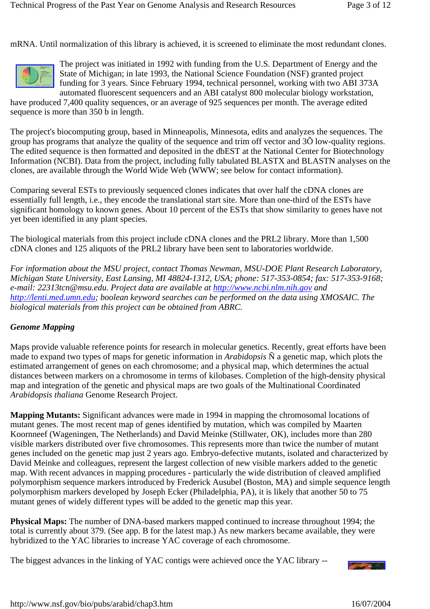mRNA. Until normalization of this library is achieved, it is screened to eliminate the most redundant clones.



The project was initiated in 1992 with funding from the U.S. Department of Energy and the State of Michigan; in late 1993, the National Science Foundation (NSF) granted project funding for 3 years. Since February 1994, technical personnel, working with two ABI 373A automated fluorescent sequencers and an ABI catalyst 800 molecular biology workstation,

have produced 7,400 quality sequences, or an average of 925 sequences per month. The average edited sequence is more than 350 b in length.

The project's biocomputing group, based in Minneapolis, Minnesota, edits and analyzes the sequences. The group has programs that analyze the quality of the sequence and trim off vector and 3Õ low-quality regions. The edited sequence is then formatted and deposited in the dbEST at the National Center for Biotechnology Information (NCBI). Data from the project, including fully tabulated BLASTX and BLASTN analyses on the clones, are available through the World Wide Web (WWW; see below for contact information).

Comparing several ESTs to previously sequenced clones indicates that over half the cDNA clones are essentially full length, i.e., they encode the translational start site. More than one-third of the ESTs have significant homology to known genes. About 10 percent of the ESTs that show similarity to genes have not yet been identified in any plant species.

The biological materials from this project include cDNA clones and the PRL2 library. More than 1,500 cDNA clones and 125 aliquots of the PRL2 library have been sent to laboratories worldwide.

*For information about the MSU project, contact Thomas Newman, MSU-DOE Plant Research Laboratory, Michigan State University, East Lansing, MI 48824-1312, USA; phone: 517-353-0854; fax: 517-353-9168; e-mail: 22313tcn@msu.edu. Project data are available at http://www.ncbi.nlm.nih.gov and http://lenti.med.umn.edu; boolean keyword searches can be performed on the data using XMOSAIC. The biological materials from this project can be obtained from ABRC.* 

#### *Genome Mapping*

Maps provide valuable reference points for research in molecular genetics. Recently, great efforts have been made to expand two types of maps for genetic information in *Arabidopsis* Ñ a genetic map, which plots the estimated arrangement of genes on each chromosome; and a physical map, which determines the actual distances between markers on a chromosome in terms of kilobases. Completion of the high-density physical map and integration of the genetic and physical maps are two goals of the Multinational Coordinated *Arabidopsis thaliana* Genome Research Project.

**Mapping Mutants:** Significant advances were made in 1994 in mapping the chromosomal locations of mutant genes. The most recent map of genes identified by mutation, which was compiled by Maarten Koornneef (Wageningen, The Netherlands) and David Meinke (Stillwater, OK), includes more than 280 visible markers distributed over five chromosomes. This represents more than twice the number of mutant genes included on the genetic map just 2 years ago. Embryo-defective mutants, isolated and characterized by David Meinke and colleagues, represent the largest collection of new visible markers added to the genetic map. With recent advances in mapping procedures - particularly the wide distribution of cleaved amplified polymorphism sequence markers introduced by Frederick Ausubel (Boston, MA) and simple sequence length polymorphism markers developed by Joseph Ecker (Philadelphia, PA), it is likely that another 50 to 75 mutant genes of widely different types will be added to the genetic map this year.

**Physical Maps:** The number of DNA-based markers mapped continued to increase throughout 1994; the total is currently about 379. (See app. B for the latest map.) As new markers became available, they were hybridized to the YAC libraries to increase YAC coverage of each chromosome.

The biggest advances in the linking of YAC contigs were achieved once the YAC library --

**PERSONAL**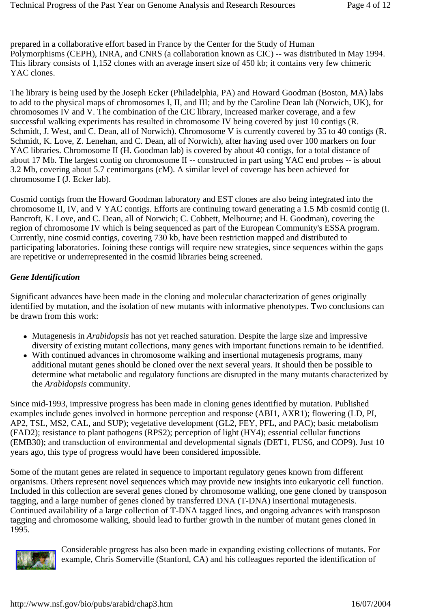prepared in a collaborative effort based in France by the Center for the Study of Human Polymorphisms (CEPH), INRA, and CNRS (a collaboration known as CIC) -- was distributed in May 1994. This library consists of 1,152 clones with an average insert size of 450 kb; it contains very few chimeric YAC clones.

The library is being used by the Joseph Ecker (Philadelphia, PA) and Howard Goodman (Boston, MA) labs to add to the physical maps of chromosomes I, II, and III; and by the Caroline Dean lab (Norwich, UK), for chromosomes IV and V. The combination of the CIC library, increased marker coverage, and a few successful walking experiments has resulted in chromosome IV being covered by just 10 contigs (R. Schmidt, J. West, and C. Dean, all of Norwich). Chromosome V is currently covered by 35 to 40 contigs (R. Schmidt, K. Love, Z. Lenehan, and C. Dean, all of Norwich), after having used over 100 markers on four YAC libraries. Chromosome II (H. Goodman lab) is covered by about 40 contigs, for a total distance of about 17 Mb. The largest contig on chromosome II -- constructed in part using YAC end probes -- is about 3.2 Mb, covering about 5.7 centimorgans (cM). A similar level of coverage has been achieved for chromosome I (J. Ecker lab).

Cosmid contigs from the Howard Goodman laboratory and EST clones are also being integrated into the chromosome II, IV, and V YAC contigs. Efforts are continuing toward generating a 1.5 Mb cosmid contig (I. Bancroft, K. Love, and C. Dean, all of Norwich; C. Cobbett, Melbourne; and H. Goodman), covering the region of chromosome IV which is being sequenced as part of the European Community's ESSA program. Currently, nine cosmid contigs, covering 730 kb, have been restriction mapped and distributed to participating laboratories. Joining these contigs will require new strategies, since sequences within the gaps are repetitive or underrepresented in the cosmid libraries being screened.

#### *Gene Identification*

Significant advances have been made in the cloning and molecular characterization of genes originally identified by mutation, and the isolation of new mutants with informative phenotypes. Two conclusions can be drawn from this work:

- Mutagenesis in *Arabidopsis* has not yet reached saturation. Despite the large size and impressive diversity of existing mutant collections, many genes with important functions remain to be identified.
- With continued advances in chromosome walking and insertional mutagenesis programs, many additional mutant genes should be cloned over the next several years. It should then be possible to determine what metabolic and regulatory functions are disrupted in the many mutants characterized by the *Arabidopsis* community.

Since mid-1993, impressive progress has been made in cloning genes identified by mutation. Published examples include genes involved in hormone perception and response (ABI1, AXR1); flowering (LD, PI, AP2, TSL, MS2, CAL, and SUP); vegetative development (GL2, FEY, PFL, and PAC); basic metabolism (FAD2); resistance to plant pathogens (RPS2); perception of light (HY4); essential cellular functions (EMB30); and transduction of environmental and developmental signals (DET1, FUS6, and COP9). Just 10 years ago, this type of progress would have been considered impossible.

Some of the mutant genes are related in sequence to important regulatory genes known from different organisms. Others represent novel sequences which may provide new insights into eukaryotic cell function. Included in this collection are several genes cloned by chromosome walking, one gene cloned by transposon tagging, and a large number of genes cloned by transferred DNA (T-DNA) insertional mutagenesis. Continued availability of a large collection of T-DNA tagged lines, and ongoing advances with transposon tagging and chromosome walking, should lead to further growth in the number of mutant genes cloned in 1995.



Considerable progress has also been made in expanding existing collections of mutants. For example, Chris Somerville (Stanford, CA) and his colleagues reported the identification of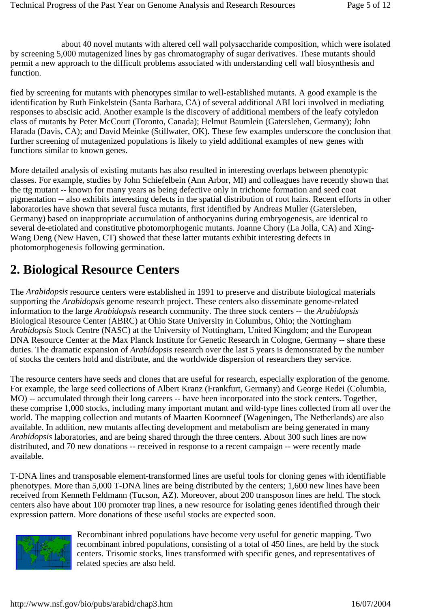about 40 novel mutants with altered cell wall polysaccharide composition, which were isolated by screening 5,000 mutagenized lines by gas chromatography of sugar derivatives. These mutants should permit a new approach to the difficult problems associated with understanding cell wall biosynthesis and function.

fied by screening for mutants with phenotypes similar to well-established mutants. A good example is the identification by Ruth Finkelstein (Santa Barbara, CA) of several additional ABI loci involved in mediating responses to abscisic acid. Another example is the discovery of additional members of the leafy cotyledon class of mutants by Peter McCourt (Toronto, Canada); Helmut Baumlein (Gatersleben, Germany); John Harada (Davis, CA); and David Meinke (Stillwater, OK). These few examples underscore the conclusion that further screening of mutagenized populations is likely to yield additional examples of new genes with functions similar to known genes.

More detailed analysis of existing mutants has also resulted in interesting overlaps between phenotypic classes. For example, studies by John Schiefelbein (Ann Arbor, MI) and colleagues have recently shown that the ttg mutant -- known for many years as being defective only in trichome formation and seed coat pigmentation -- also exhibits interesting defects in the spatial distribution of root hairs. Recent efforts in other laboratories have shown that several fusca mutants, first identified by Andreas Muller (Gatersleben, Germany) based on inappropriate accumulation of anthocyanins during embryogenesis, are identical to several de-etiolated and constitutive photomorphogenic mutants. Joanne Chory (La Jolla, CA) and Xing-Wang Deng (New Haven, CT) showed that these latter mutants exhibit interesting defects in photomorphogenesis following germination.

### **2. Biological Resource Centers**

The *Arabidopsis* resource centers were established in 1991 to preserve and distribute biological materials supporting the *Arabidopsis* genome research project. These centers also disseminate genome-related information to the large *Arabidopsis* research community. The three stock centers -- the *Arabidopsis* Biological Resource Center (ABRC) at Ohio State University in Columbus, Ohio; the Nottingham *Arabidopsis* Stock Centre (NASC) at the University of Nottingham, United Kingdom; and the European DNA Resource Center at the Max Planck Institute for Genetic Research in Cologne, Germany -- share these duties. The dramatic expansion of *Arabidopsis* research over the last 5 years is demonstrated by the number of stocks the centers hold and distribute, and the worldwide dispersion of researchers they service.

The resource centers have seeds and clones that are useful for research, especially exploration of the genome. For example, the large seed collections of Albert Kranz (Frankfurt, Germany) and George Redei (Columbia, MO) -- accumulated through their long careers -- have been incorporated into the stock centers. Together, these comprise 1,000 stocks, including many important mutant and wild-type lines collected from all over the world. The mapping collection and mutants of Maarten Koornneef (Wageningen, The Netherlands) are also available. In addition, new mutants affecting development and metabolism are being generated in many *Arabidopsis* laboratories, and are being shared through the three centers. About 300 such lines are now distributed, and 70 new donations -- received in response to a recent campaign -- were recently made available.

T-DNA lines and transposable element-transformed lines are useful tools for cloning genes with identifiable phenotypes. More than 5,000 T-DNA lines are being distributed by the centers; 1,600 new lines have been received from Kenneth Feldmann (Tucson, AZ). Moreover, about 200 transposon lines are held. The stock centers also have about 100 promoter trap lines, a new resource for isolating genes identified through their expression pattern. More donations of these useful stocks are expected soon.



Recombinant inbred populations have become very useful for genetic mapping. Two recombinant inbred populations, consisting of a total of 450 lines, are held by the stock centers. Trisomic stocks, lines transformed with specific genes, and representatives of related species are also held.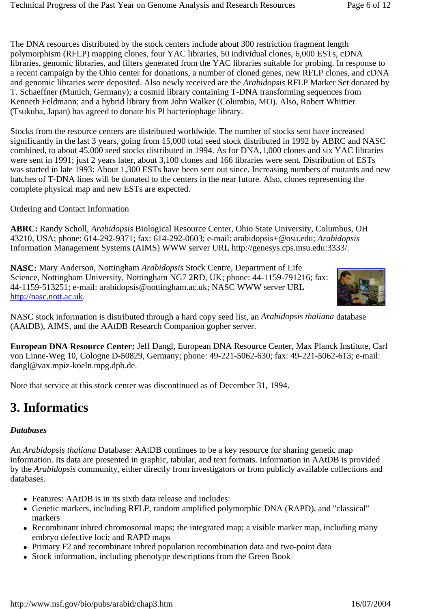The DNA resources distributed by the stock centers include about 300 restriction fragment length polymorphism (RFLP) mapping clones, four YAC libraries, 50 individual clones, 6,000 ESTs, cDNA libraries, genomic libraries, and filters generated from the YAC libraries suitable for probing. In response to a recent campaign by the Ohio center for donations, a number of cloned genes, new RFLP clones, and cDNA and genomic libraries were deposited. Also newly received are the *Arabidopsis* RFLP Marker Set donated by T. Schaeffner (Munich, Germany); a cosmid library containing T-DNA transforming sequences from Kenneth Feldmann; and a hybrid library from John Walker (Columbia, MO). Also, Robert Whittier (Tsukuba, Japan) has agreed to donate his Pl bacteriophage library.

Stocks from the resource centers are distributed worldwide. The number of stocks sent have increased significantly in the last 3 years, going from 15,000 total seed stock distributed in 1992 by ABRC and NASC combined, to about 45,000 seed stocks distributed in 1994. As for DNA, l,000 clones and six YAC libraries were sent in 1991; just 2 years later, about 3,100 clones and 166 libraries were sent. Distribution of ESTs was started in late 1993: About 1,300 ESTs have been sent out since. Increasing numbers of mutants and new batches of T-DNA lines will be donated to the centers in the near future. Also, clones representing the complete physical map and new ESTs are expected.

Ordering and Contact Information

**ABRC:** Randy Scholl, *Arabidopsis* Biological Resource Center, Ohio State University, Columbus, OH 43210, USA; phone: 614-292-9371; fax: 614-292-0603; e-mail: arabidopsis+@osu.edu; *Arabidopsis* Information Management Systems (AIMS) WWW server URL http://genesys.cps.msu.edu:3333/.

**NASC:** Mary Anderson, Nottingham *Arabidopsis* Stock Centre, Department of Life Science, Nottingham University, Nottingham NG7 2RD, UK; phone: 44-1159-791216; fax: 44-1159-513251; e-mail: arabidopsis@nottingham.ac.uk; NASC WWW server URL http://nasc.nott.ac.uk.



NASC stock information is distributed through a hard copy seed list, an *Arabidopsis thaliana* database (AAtDB), AIMS, and the AAtDB Research Companion gopher server.

**European DNA Resource Center:** Jeff Dangl, European DNA Resource Center, Max Planck Institute, Carl von Linne-Weg 10, Cologne D-50829, Germany; phone: 49-221-5062-630; fax: 49-221-5062-613; e-mail: dangl@vax.mpiz-koeln.mpg.dpb.de.

Note that service at this stock center was discontinued as of December 31, 1994.

### **3. Informatics**

#### *Databases*

An *Arabidopsis thaliana* Database: AAtDB continues to be a key resource for sharing genetic map information. Its data are presented in graphic, tabular, and text formats. Information in AAtDB is provided by the *Arabidopsis* community, either directly from investigators or from publicly available collections and databases.

- Features: AAtDB is in its sixth data release and includes:
- Genetic markers, including RFLP, random amplified polymorphic DNA (RAPD), and "classical" markers
- Recombinant inbred chromosomal maps; the integrated map; a visible marker map, including many embryo defective loci; and RAPD maps
- Primary F2 and recombinant inbred population recombination data and two-point data
- Stock information, including phenotype descriptions from the Green Book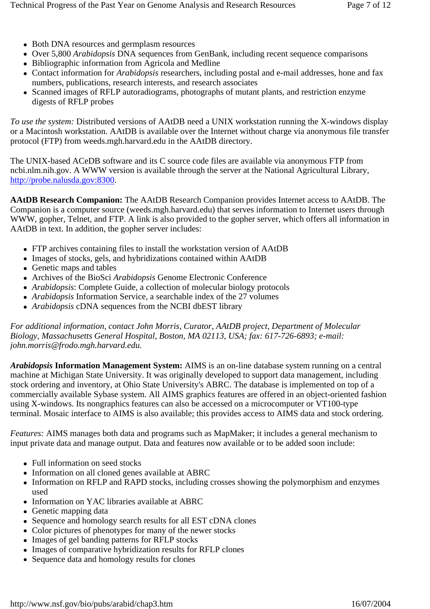- Both DNA resources and germplasm resources
- Over 5,800 *Arabidopsis* DNA sequences from GenBank, including recent sequence comparisons
- Bibliographic information from Agricola and Medline
- Contact information for *Arabidopsis* researchers, including postal and e-mail addresses, hone and fax numbers, publications, research interests, and research associates
- Scanned images of RFLP autoradiograms, photographs of mutant plants, and restriction enzyme digests of RFLP probes

*To use the system:* Distributed versions of AAtDB need a UNIX workstation running the X-windows display or a Macintosh workstation. AAtDB is available over the Internet without charge via anonymous file transfer protocol (FTP) from weeds.mgh.harvard.edu in the AAtDB directory.

The UNIX-based ACeDB software and its C source code files are available via anonymous FTP from ncbi.nlm.nih.gov. A WWW version is available through the server at the National Agricultural Library, http://probe.nalusda.gov:8300.

**AAtDB Research Companion:** The AAtDB Research Companion provides Internet access to AAtDB. The Companion is a computer source (weeds.mgh.harvard.edu) that serves information to Internet users through WWW, gopher, Telnet, and FTP. A link is also provided to the gopher server, which offers all information in AAtDB in text. In addition, the gopher server includes:

- FTP archives containing files to install the workstation version of AAtDB
- Images of stocks, gels, and hybridizations contained within AAtDB
- Genetic maps and tables
- <sup>z</sup> Archives of the BioSci *Arabidopsis* Genome Electronic Conference
- *Arabidopsis:* Complete Guide, a collection of molecular biology protocols
- *Arabidopsis* Information Service, a searchable index of the 27 volumes
- *Arabidopsis* cDNA sequences from the NCBI dbEST library

*For additional information, contact John Morris, Curator, AAtDB project, Department of Molecular Biology, Massachusetts General Hospital, Boston, MA 02113, USA; fax: 617-726-6893; e-mail: john.morris@frodo.mgh.harvard.edu.*

*Arabidopsis* **Information Management System:** AIMS is an on-line database system running on a central machine at Michigan State University. It was originally developed to support data management, including stock ordering and inventory, at Ohio State University's ABRC. The database is implemented on top of a commercially available Sybase system. All AIMS graphics features are offered in an object-oriented fashion using X-windows. Its nongraphics features can also be accessed on a microcomputer or VT100-type terminal. Mosaic interface to AIMS is also available; this provides access to AIMS data and stock ordering.

*Features:* AIMS manages both data and programs such as MapMaker; it includes a general mechanism to input private data and manage output. Data and features now available or to be added soon include:

- Full information on seed stocks
- Information on all cloned genes available at ABRC
- Information on RFLP and RAPD stocks, including crosses showing the polymorphism and enzymes used
- Information on YAC libraries available at ABRC
- Genetic mapping data
- Sequence and homology search results for all EST cDNA clones
- Color pictures of phenotypes for many of the newer stocks
- Images of gel banding patterns for RFLP stocks
- Images of comparative hybridization results for RFLP clones
- Sequence data and homology results for clones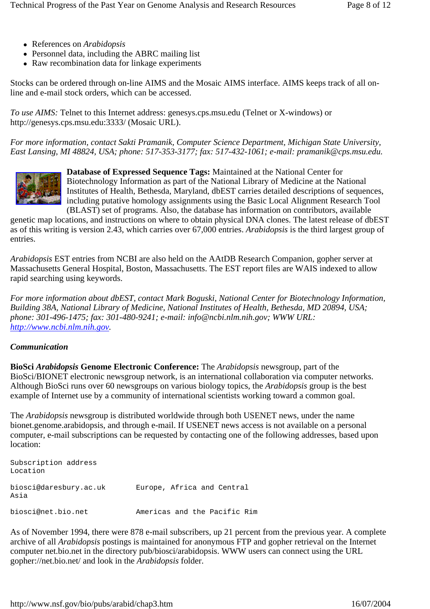- References on *Arabidopsis*
- Personnel data, including the ABRC mailing list
- Raw recombination data for linkage experiments

Stocks can be ordered through on-line AIMS and the Mosaic AIMS interface. AIMS keeps track of all online and e-mail stock orders, which can be accessed.

*To use AIMS:* Telnet to this Internet address: genesys.cps.msu.edu (Telnet or X-windows) or http://genesys.cps.msu.edu:3333/ (Mosaic URL).

*For more information, contact Sakti Pramanik, Computer Science Department, Michigan State University, East Lansing, MI 48824, USA; phone: 517-353-3177; fax: 517-432-1061; e-mail: pramanik@cps.msu.edu.*



**Database of Expressed Sequence Tags:** Maintained at the National Center for Biotechnology Information as part of the National Library of Medicine at the National Institutes of Health, Bethesda, Maryland, dbEST carries detailed descriptions of sequences, including putative homology assignments using the Basic Local Alignment Research Tool (BLAST) set of programs. Also, the database has information on contributors, available

genetic map locations, and instructions on where to obtain physical DNA clones. The latest release of dbEST as of this writing is version 2.43, which carries over 67,000 entries. *Arabidopsis* is the third largest group of entries.

*Arabidopsis* EST entries from NCBI are also held on the AAtDB Research Companion, gopher server at Massachusetts General Hospital, Boston, Massachusetts. The EST report files are WAIS indexed to allow rapid searching using keywords.

*For more information about dbEST, contact Mark Boguski, National Center for Biotechnology Information, Building 38A, National Library of Medicine, National Institutes of Health, Bethesda, MD 20894, USA; phone: 301-496-1475; fax: 301-480-9241; e-mail: info@ncbi.nlm.nih.gov; WWW URL: http://www.ncbi.nlm.nih.gov.*

#### *Communication*

**BioSci** *Arabidopsis* **Genome Electronic Conference:** The *Arabidopsis* newsgroup, part of the BioSci/BIONET electronic newsgroup network, is an international collaboration via computer networks. Although BioSci runs over 60 newsgroups on various biology topics, the *Arabidopsis* group is the best example of Internet use by a community of international scientists working toward a common goal.

The *Arabidopsis* newsgroup is distributed worldwide through both USENET news, under the name bionet.genome.arabidopsis, and through e-mail. If USENET news access is not available on a personal computer, e-mail subscriptions can be requested by contacting one of the following addresses, based upon location:

| Subscription address<br>Location |                              |
|----------------------------------|------------------------------|
| biosci@daresbury.ac.uk<br>Asia   | Europe, Africa and Central   |
| biosci@net.bio.net               | Americas and the Pacific Rim |

As of November 1994, there were 878 e-mail subscribers, up 21 percent from the previous year. A complete archive of all *Arabidopsis* postings is maintained for anonymous FTP and gopher retrieval on the Internet computer net.bio.net in the directory pub/biosci/arabidopsis. WWW users can connect using the URL gopher://net.bio.net/ and look in the *Arabidopsis* folder.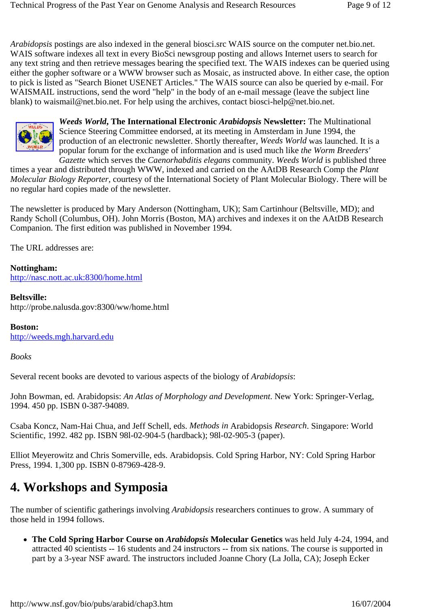*Arabidopsis* postings are also indexed in the general biosci.src WAIS source on the computer net.bio.net. WAIS software indexes all text in every BioSci newsgroup posting and allows Internet users to search for any text string and then retrieve messages bearing the specified text. The WAIS indexes can be queried using either the gopher software or a WWW browser such as Mosaic, as instructed above. In either case, the option to pick is listed as "Search Bionet USENET Articles." The WAIS source can also be queried by e-mail. For WAISMAIL instructions, send the word "help" in the body of an e-mail message (leave the subject line blank) to waismail@net.bio.net. For help using the archives, contact biosci-help@net.bio.net.



*Weeds World***, The International Electronic** *Arabidopsis* **Newsletter:** The Multinational Science Steering Committee endorsed, at its meeting in Amsterdam in June 1994, the production of an electronic newsletter. Shortly thereafter, *Weeds World* was launched. It is a popular forum for the exchange of information and is used much like *the Worm Breeders' Gazette* which serves the *Caenorhabditis elegans* community. *Weeds World* is published three

times a year and distributed through WWW, indexed and carried on the AAtDB Research Comp the *Plant Molecular Biology Reporter*, courtesy of the International Society of Plant Molecular Biology. There will be no regular hard copies made of the newsletter.

The newsletter is produced by Mary Anderson (Nottingham, UK); Sam Cartinhour (Beltsville, MD); and Randy Scholl (Columbus, OH). John Morris (Boston, MA) archives and indexes it on the AAtDB Research Companion. The first edition was published in November 1994.

The URL addresses are:

**Nottingham:**  http://nasc.nott.ac.uk:8300/home.html

#### **Beltsville:**

http://probe.nalusda.gov:8300/ww/home.html

#### **Boston:**

http://weeds.mgh.harvard.edu

#### *Books*

Several recent books are devoted to various aspects of the biology of *Arabidopsis*:

John Bowman, ed. Arabidopsis: *An Atlas of Morphology and Development*. New York: Springer-Verlag, 1994. 450 pp. ISBN 0-387-94089.

Csaba Koncz, Nam-Hai Chua, and Jeff Schell, eds. *Methods in* Arabidopsis *Research*. Singapore: World Scientific, 1992. 482 pp. ISBN 98l-02-904-5 (hardback); 98l-02-905-3 (paper).

Elliot Meyerowitz and Chris Somerville, eds. Arabidopsis. Cold Spring Harbor, NY: Cold Spring Harbor Press, 1994. 1,300 pp. ISBN 0-87969-428-9.

### **4. Workshops and Symposia**

The number of scientific gatherings involving *Arabidopsis* researchers continues to grow. A summary of those held in 1994 follows.

<sup>z</sup> **The Cold Spring Harbor Course on** *Arabidopsis* **Molecular Genetics** was held July 4-24, 1994, and attracted 40 scientists -- 16 students and 24 instructors -- from six nations. The course is supported in part by a 3-year NSF award. The instructors included Joanne Chory (La Jolla, CA); Joseph Ecker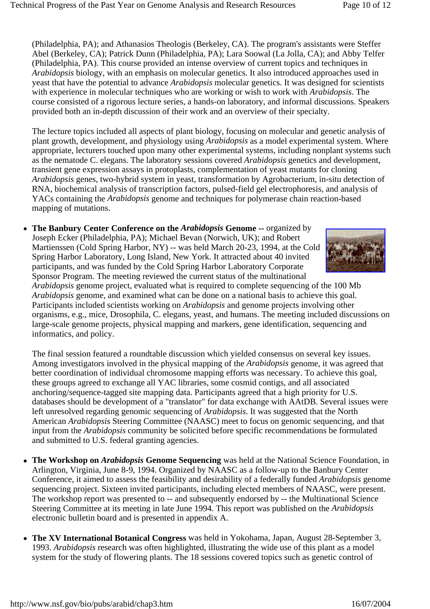(Philadelphia, PA); and Athanasios Theologis (Berkeley, CA). The program's assistants were Steffer Abel (Berkeley, CA); Patrick Dunn (Philadelphia, PA); Lara Soowal (La Jolla, CA); and Abby Telfer (Philadelphia, PA). This course provided an intense overview of current topics and techniques in *Arabidopsis* biology, with an emphasis on molecular genetics. It also introduced approaches used in yeast that have the potential to advance *Arabidopsis* molecular genetics. It was designed for scientists with experience in molecular techniques who are working or wish to work with *Arabidopsis*. The course consisted of a rigorous lecture series, a hands-on laboratory, and informal discussions. Speakers provided both an in-depth discussion of their work and an overview of their specialty.

The lecture topics included all aspects of plant biology, focusing on molecular and genetic analysis of plant growth, development, and physiology using *Arabidopsis* as a model experimental system. Where appropriate, lecturers touched upon many other experimental systems, including nonplant systems such as the nematode C. elegans. The laboratory sessions covered *Arabidopsis* genetics and development, transient gene expression assays in protoplasts, complementation of yeast mutants for cloning *Arabidopsis* genes, two-hybrid system in yeast, transformation by Agrobacterium, in-situ detection of RNA, biochemical analysis of transcription factors, pulsed-field gel electrophoresis, and analysis of YACs containing the *Arabidopsis* genome and techniques for polymerase chain reaction-based mapping of mutations.

<sup>z</sup> **The Banbury Center Conference on the** *Arabidopsis* **Genome --** organized by Joseph Ecker (Philadelphia, PA); Michael Bevan (Norwich, UK); and Robert Martienssen (Cold Spring Harbor, NY) -- was held March 20-23, 1994, at the Cold Spring Harbor Laboratory, Long Island, New York. It attracted about 40 invited participants, and was funded by the Cold Spring Harbor Laboratory Corporate Sponsor Program. The meeting reviewed the current status of the multinational



The final session featured a roundtable discussion which yielded consensus on several key issues. Among investigators involved in the physical mapping of the *Arabidopsis* genome, it was agreed that better coordination of individual chromosome mapping efforts was necessary. To achieve this goal, these groups agreed to exchange all YAC libraries, some cosmid contigs, and all associated anchoring/sequence-tagged site mapping data. Participants agreed that a high priority for U.S. databases should be development of a "translator" for data exchange with AAtDB. Several issues were left unresolved regarding genomic sequencing of *Arabidopsis*. It was suggested that the North American *Arabidopsis* Steering Committee (NAASC) meet to focus on genomic sequencing, and that input from the *Arabidopsis* community be solicited before specific recommendations be formulated and submitted to U.S. federal granting agencies.

- The Workshop on *Arabidopsis* Genome Sequencing was held at the National Science Foundation, in Arlington, Virginia, June 8-9, 1994. Organized by NAASC as a follow-up to the Banbury Center Conference, it aimed to assess the feasibility and desirability of a federally funded *Arabidopsis* genome sequencing project. Sixteen invited participants, including elected members of NAASC, were present. The workshop report was presented to -- and subsequently endorsed by -- the Multinational Science Steering Committee at its meeting in late June 1994. This report was published on the *Arabidopsis* electronic bulletin board and is presented in appendix A.
- <sup>z</sup> **The XV International Botanical Congress** was held in Yokohama, Japan, August 28-September 3, 1993. *Arabidopsis* research was often highlighted, illustrating the wide use of this plant as a model system for the study of flowering plants. The 18 sessions covered topics such as genetic control of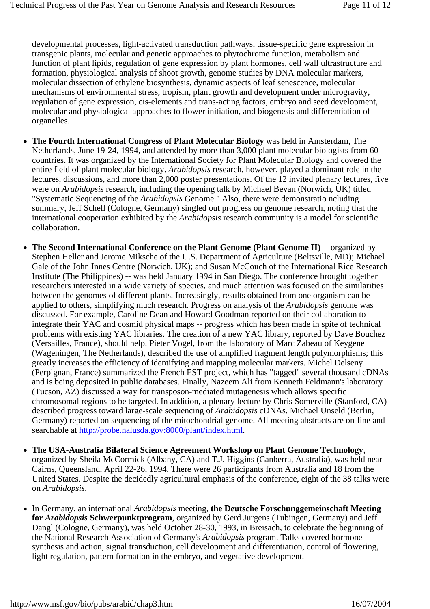developmental processes, light-activated transduction pathways, tissue-specific gene expression in transgenic plants, molecular and genetic approaches to phytochrome function, metabolism and function of plant lipids, regulation of gene expression by plant hormones, cell wall ultrastructure and formation, physiological analysis of shoot growth, genome studies by DNA molecular markers, molecular dissection of ethylene biosynthesis, dynamic aspects of leaf senescence, molecular mechanisms of environmental stress, tropism, plant growth and development under microgravity, regulation of gene expression, cis-elements and trans-acting factors, embryo and seed development, molecular and physiological approaches to flower initiation, and biogenesis and differentiation of organelles.

- The Fourth International Congress of Plant Molecular Biology was held in Amsterdam, The Netherlands, June 19-24, 1994, and attended by more than 3,000 plant molecular biologists from 60 countries. It was organized by the International Society for Plant Molecular Biology and covered the entire field of plant molecular biology. *Arabidopsis* research, however, played a dominant role in the lectures, discussions, and more than 2,000 poster presentations. Of the 12 invited plenary lectures, five were on *Arabidopsis* research, including the opening talk by Michael Bevan (Norwich, UK) titled "Systematic Sequencing of the *Arabidopsis* Genome." Also, there were demonstratio ncluding summary, Jeff Schell (Cologne, Germany) singled out progress on genome research, noting that the international cooperation exhibited by the *Arabidopsis* research community is a model for scientific collaboration.
- The Second International Conference on the Plant Genome (Plant Genome II) -- organized by Stephen Heller and Jerome Miksche of the U.S. Department of Agriculture (Beltsville, MD); Michael Gale of the John Innes Centre (Norwich, UK); and Susan McCouch of the International Rice Research Institute (The Philippines) -- was held January 1994 in San Diego. The conference brought together researchers interested in a wide variety of species, and much attention was focused on the similarities between the genomes of different plants. Increasingly, results obtained from one organism can be applied to others, simplifying much research. Progress on analysis of the *Arabidopsis* genome was discussed. For example, Caroline Dean and Howard Goodman reported on their collaboration to integrate their YAC and cosmid physical maps -- progress which has been made in spite of technical problems with existing YAC libraries. The creation of a new YAC library, reported by Dave Bouchez (Versailles, France), should help. Pieter Vogel, from the laboratory of Marc Zabeau of Keygene (Wageningen, The Netherlands), described the use of amplified fragment length polymorphisms; this greatly increases the efficiency of identifying and mapping molecular markers. Michel Delseny (Perpignan, France) summarized the French EST project, which has "tagged" several thousand cDNAs and is being deposited in public databases. Finally, Nazeem Ali from Kenneth Feldmann's laboratory (Tucson, AZ) discussed a way for transposon-mediated mutagenesis which allows specific chromosomal regions to be targeted. In addition, a plenary lecture by Chris Somerville (Stanford, CA) described progress toward large-scale sequencing of *Arabidopsis* cDNAs. Michael Unseld (Berlin, Germany) reported on sequencing of the mitochondrial genome. All meeting abstracts are on-line and searchable at http://probe.nalusda.gov:8000/plant/index.html.
- The USA-Australia Bilateral Science Agreement Workshop on Plant Genome Technology, organized by Sheila McCormick (Albany, CA) and T.J. Higgins (Canberra, Australia), was held near Cairns, Queensland, April 22-26, 1994. There were 26 participants from Australia and 18 from the United States. Despite the decidedly agricultural emphasis of the conference, eight of the 38 talks were on *Arabidopsis*.
- In Germany, an international *Arabidopsis* meeting, the Deutsche Forschunggemeinschaft Meeting **for** *Arabidopsis* **Schwerpunktprogram**, organized by Gerd Jurgens (Tubingen, Germany) and Jeff Dangl (Cologne, Germany), was held October 28-30, 1993, in Breisach, to celebrate the beginning of the National Research Association of Germany's *Arabidopsis* program. Talks covered hormone synthesis and action, signal transduction, cell development and differentiation, control of flowering, light regulation, pattern formation in the embryo, and vegetative development.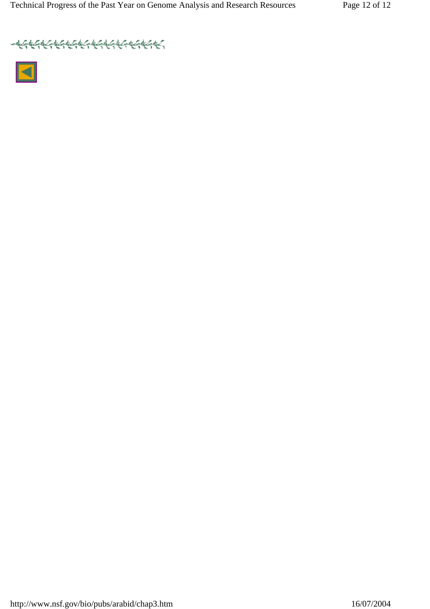

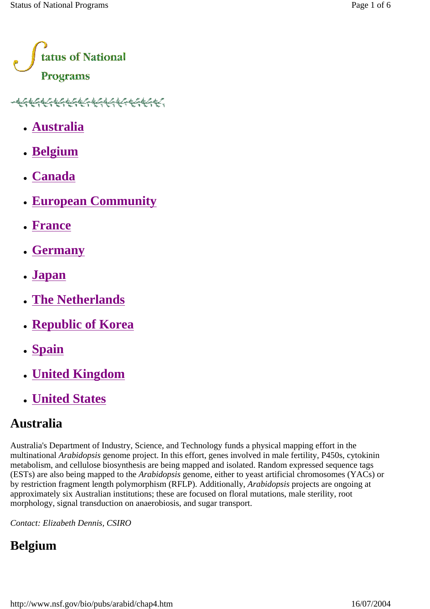



A<del>tAtAtAtAtAtAtAtA</del>t

- <sup>z</sup> **Australia**
- <sup>z</sup> **Belgium**
- <sup>z</sup> **Canada**
- <sup>z</sup> **European Community**
- <sup>z</sup> **France**
- <sup>z</sup> **Germany**
- <sup>z</sup> **Japan**
- <sup>z</sup> **The Netherlands**
- <sup>z</sup> **Republic of Korea**
- <sup>z</sup> **Spain**
- <sup>z</sup> **United Kingdom**
- <sup>z</sup> **United States**

# **Australia**

Australia's Department of Industry, Science, and Technology funds a physical mapping effort in the multinational *Arabidopsis* genome project. In this effort, genes involved in male fertility, P450s, cytokinin metabolism, and cellulose biosynthesis are being mapped and isolated. Random expressed sequence tags (ESTs) are also being mapped to the *Arabidopsis* genome, either to yeast artificial chromosomes (YACs) or by restriction fragment length polymorphism (RFLP). Additionally, *Arabidopsis* projects are ongoing at approximately six Australian institutions; these are focused on floral mutations, male sterility, root morphology, signal transduction on anaerobiosis, and sugar transport.

*Contact: Elizabeth Dennis, CSIRO*

# **Belgium**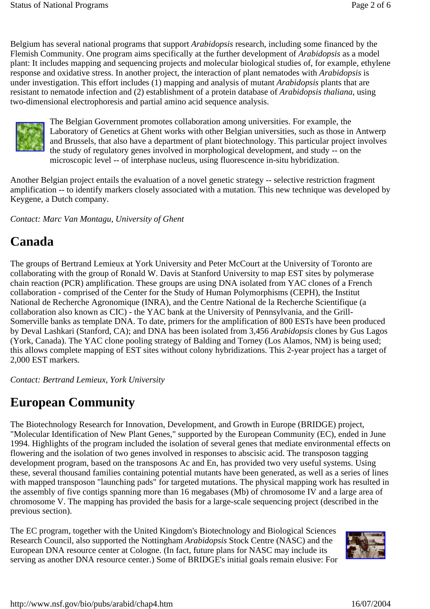Belgium has several national programs that support *Arabidopsis* research, including some financed by the Flemish Community. One program aims specifically at the further development of *Arabidopsis* as a model plant: It includes mapping and sequencing projects and molecular biological studies of, for example, ethylene response and oxidative stress. In another project, the interaction of plant nematodes with *Arabidopsis* is under investigation. This effort includes (1) mapping and analysis of mutant *Arabidopsis* plants that are resistant to nematode infection and (2) establishment of a protein database of *Arabidopsis thaliana*, using two-dimensional electrophoresis and partial amino acid sequence analysis.



The Belgian Government promotes collaboration among universities. For example, the Laboratory of Genetics at Ghent works with other Belgian universities, such as those in Antwerp and Brussels, that also have a department of plant biotechnology. This particular project involves the study of regulatory genes involved in morphological development, and study -- on the microscopic level -- of interphase nucleus, using fluorescence in-situ hybridization.

Another Belgian project entails the evaluation of a novel genetic strategy -- selective restriction fragment amplification -- to identify markers closely associated with a mutation. This new technique was developed by Keygene, a Dutch company.

*Contact: Marc Van Montagu, University of Ghent*

# **Canada**

The groups of Bertrand Lemieux at York University and Peter McCourt at the University of Toronto are collaborating with the group of Ronald W. Davis at Stanford University to map EST sites by polymerase chain reaction (PCR) amplification. These groups are using DNA isolated from YAC clones of a French collaboration - comprised of the Center for the Study of Human Polymorphisms (CEPH), the Institut National de Recherche Agronomique (INRA), and the Centre National de la Recherche Scientifique (a collaboration also known as CIC) - the YAC bank at the University of Pennsylvania, and the Grill-Somerville banks as template DNA. To date, primers for the amplification of 800 ESTs have been produced by Deval Lashkari (Stanford, CA); and DNA has been isolated from 3,456 *Arabidopsis* clones by Gus Lagos (York, Canada). The YAC clone pooling strategy of Balding and Torney (Los Alamos, NM) is being used; this allows complete mapping of EST sites without colony hybridizations. This 2-year project has a target of 2,000 EST markers.

*Contact: Bertrand Lemieux, York University*

# **European Community**

The Biotechnology Research for Innovation, Development, and Growth in Europe (BRIDGE) project, "Molecular Identification of New Plant Genes," supported by the European Community (EC), ended in June 1994. Highlights of the program included the isolation of several genes that mediate environmental effects on flowering and the isolation of two genes involved in responses to abscisic acid. The transposon tagging development program, based on the transposons Ac and En, has provided two very useful systems. Using these, several thousand families containing potential mutants have been generated, as well as a series of lines with mapped transposon "launching pads" for targeted mutations. The physical mapping work has resulted in the assembly of five contigs spanning more than 16 megabases (Mb) of chromosome IV and a large area of chromosome V. The mapping has provided the basis for a large-scale sequencing project (described in the previous section).

The EC program, together with the United Kingdom's Biotechnology and Biological Sciences Research Council, also supported the Nottingham *Arabidopsis* Stock Centre (NASC) and the European DNA resource center at Cologne. (In fact, future plans for NASC may include its serving as another DNA resource center.) Some of BRIDGE's initial goals remain elusive: For

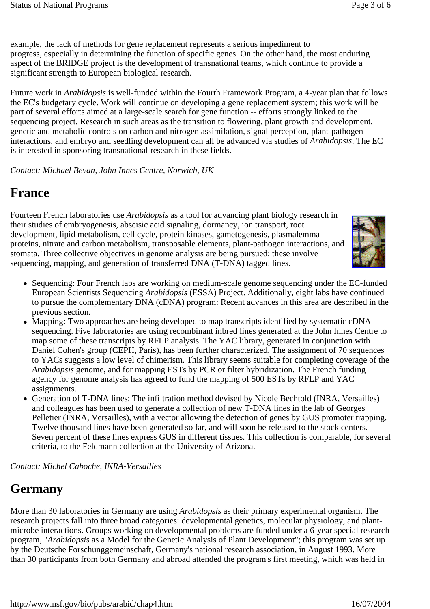example, the lack of methods for gene replacement represents a serious impediment to progress, especially in determining the function of specific genes. On the other hand, the most enduring aspect of the BRIDGE project is the development of transnational teams, which continue to provide a significant strength to European biological research.

Future work in *Arabidopsis* is well-funded within the Fourth Framework Program, a 4-year plan that follows the EC's budgetary cycle. Work will continue on developing a gene replacement system; this work will be part of several efforts aimed at a large-scale search for gene function -- efforts strongly linked to the sequencing project. Research in such areas as the transition to flowering, plant growth and development, genetic and metabolic controls on carbon and nitrogen assimilation, signal perception, plant-pathogen interactions, and embryo and seedling development can all be advanced via studies of *Arabidopsis*. The EC is interested in sponsoring transnational research in these fields.

*Contact: Michael Bevan, John Innes Centre, Norwich, UK*

### **France**

Fourteen French laboratories use *Arabidopsis* as a tool for advancing plant biology research in their studies of embryogenesis, abscisic acid signaling, dormancy, ion transport, root development, lipid metabolism, cell cycle, protein kinases, gametogenesis, plasmalemma proteins, nitrate and carbon metabolism, transposable elements, plant-pathogen interactions, and stomata. Three collective objectives in genome analysis are being pursued; these involve sequencing, mapping, and generation of transferred DNA (T-DNA) tagged lines.



- Sequencing: Four French labs are working on medium-scale genome sequencing under the EC-funded European Scientists Sequencing *Arabidopsis* (ESSA) Project. Additionally, eight labs have continued to pursue the complementary DNA (cDNA) program: Recent advances in this area are described in the previous section.
- Mapping: Two approaches are being developed to map transcripts identified by systematic cDNA sequencing. Five laboratories are using recombinant inbred lines generated at the John Innes Centre to map some of these transcripts by RFLP analysis. The YAC library, generated in conjunction with Daniel Cohen's group (CEPH, Paris), has been further characterized. The assignment of 70 sequences to YACs suggests a low level of chimerism. This library seems suitable for completing coverage of the *Arabidopsis* genome, and for mapping ESTs by PCR or filter hybridization. The French funding agency for genome analysis has agreed to fund the mapping of 500 ESTs by RFLP and YAC assignments.
- Generation of T-DNA lines: The infiltration method devised by Nicole Bechtold (INRA, Versailles) and colleagues has been used to generate a collection of new T-DNA lines in the lab of Georges Pelletier (INRA, Versailles), with a vector allowing the detection of genes by GUS promoter trapping. Twelve thousand lines have been generated so far, and will soon be released to the stock centers. Seven percent of these lines express GUS in different tissues. This collection is comparable, for several criteria, to the Feldmann collection at the University of Arizona.

*Contact: Michel Caboche, INRA-Versailles*

### **Germany**

More than 30 laboratories in Germany are using *Arabidopsis* as their primary experimental organism. The research projects fall into three broad categories: developmental genetics, molecular physiology, and plantmicrobe interactions. Groups working on developmental problems are funded under a 6-year special research program, "*Arabidopsis* as a Model for the Genetic Analysis of Plant Development"; this program was set up by the Deutsche Forschunggemeinschaft, Germany's national research association, in August 1993. More than 30 participants from both Germany and abroad attended the program's first meeting, which was held in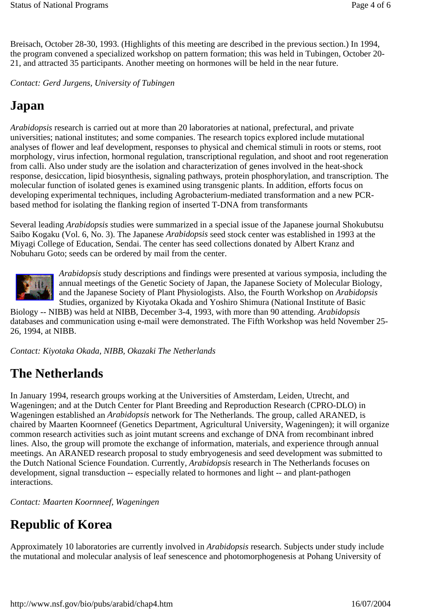Breisach, October 28-30, 1993. (Highlights of this meeting are described in the previous section.) In 1994, the program convened a specialized workshop on pattern formation; this was held in Tubingen, October 20- 21, and attracted 35 participants. Another meeting on hormones will be held in the near future.

*Contact: Gerd Jurgens, University of Tubingen*

### **Japan**

*Arabidopsis* research is carried out at more than 20 laboratories at national, prefectural, and private universities; national institutes; and some companies. The research topics explored include mutational analyses of flower and leaf development, responses to physical and chemical stimuli in roots or stems, root morphology, virus infection, hormonal regulation, transcriptional regulation, and shoot and root regeneration from calli. Also under study are the isolation and characterization of genes involved in the heat-shock response, desiccation, lipid biosynthesis, signaling pathways, protein phosphorylation, and transcription. The molecular function of isolated genes is examined using transgenic plants. In addition, efforts focus on developing experimental techniques, including Agrobacterium-mediated transformation and a new PCRbased method for isolating the flanking region of inserted T-DNA from transformants

Several leading *Arabidopsis* studies were summarized in a special issue of the Japanese journal Shokubutsu Saibo Kogaku (Vol. 6, No. 3). The Japanese *Arabidopsis* seed stock center was established in 1993 at the Miyagi College of Education, Sendai. The center has seed collections donated by Albert Kranz and Nobuharu Goto; seeds can be ordered by mail from the center.



*Arabidopsis* study descriptions and findings were presented at various symposia, including the annual meetings of the Genetic Society of Japan, the Japanese Society of Molecular Biology, and the Japanese Society of Plant Physiologists. Also, the Fourth Workshop on *Arabidopsis* Studies, organized by Kiyotaka Okada and Yoshiro Shimura (National Institute of Basic

Biology -- NIBB) was held at NIBB, December 3-4, 1993, with more than 90 attending. *Arabidopsis* databases and communication using e-mail were demonstrated. The Fifth Workshop was held November 25- 26, 1994, at NIBB.

*Contact: Kiyotaka Okada, NIBB, Okazaki The Netherlands*

### **The Netherlands**

In January 1994, research groups working at the Universities of Amsterdam, Leiden, Utrecht, and Wageningen; and at the Dutch Center for Plant Breeding and Reproduction Research (CPRO-DLO) in Wageningen established an *Arabidopsis* network for The Netherlands. The group, called ARANED, is chaired by Maarten Koornneef (Genetics Department, Agricultural University, Wageningen); it will organize common research activities such as joint mutant screens and exchange of DNA from recombinant inbred lines. Also, the group will promote the exchange of information, materials, and experience through annual meetings. An ARANED research proposal to study embryogenesis and seed development was submitted to the Dutch National Science Foundation. Currently, *Arabidopsis* research in The Netherlands focuses on development, signal transduction -- especially related to hormones and light -- and plant-pathogen interactions.

*Contact: Maarten Koornneef, Wageningen*

### **Republic of Korea**

Approximately 10 laboratories are currently involved in *Arabidopsis* research. Subjects under study include the mutational and molecular analysis of leaf senescence and photomorphogenesis at Pohang University of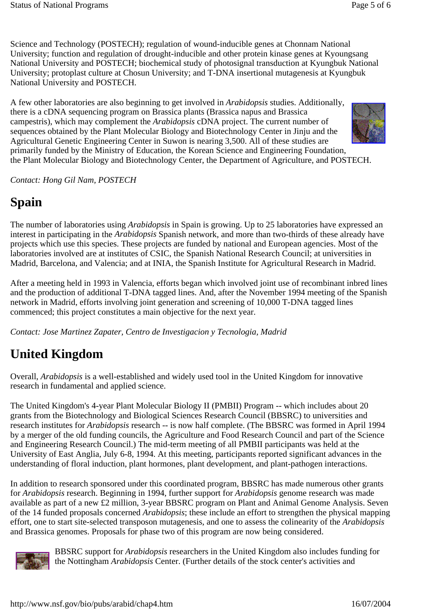Science and Technology (POSTECH); regulation of wound-inducible genes at Chonnam National University; function and regulation of drought-inducible and other protein kinase genes at Kyoungsang National University and POSTECH; biochemical study of photosignal transduction at Kyungbuk National University; protoplast culture at Chosun University; and T-DNA insertional mutagenesis at Kyungbuk National University and POSTECH.

A few other laboratories are also beginning to get involved in *Arabidopsis* studies. Additionally, there is a cDNA sequencing program on Brassica plants (Brassica napus and Brassica campestris), which may complement the *Arabidopsis* cDNA project. The current number of sequences obtained by the Plant Molecular Biology and Biotechnology Center in Jinju and the Agricultural Genetic Engineering Center in Suwon is nearing 3,500. All of these studies are primarily funded by the Ministry of Education, the Korean Science and Engineering Foundation, the Plant Molecular Biology and Biotechnology Center, the Department of Agriculture, and POSTECH.

*Contact: Hong Gil Nam, POSTECH*

### **Spain**

The number of laboratories using *Arabidopsis* in Spain is growing. Up to 25 laboratories have expressed an interest in participating in the *Arabidopsis* Spanish network, and more than two-thirds of these already have projects which use this species. These projects are funded by national and European agencies. Most of the laboratories involved are at institutes of CSIC, the Spanish National Research Council; at universities in Madrid, Barcelona, and Valencia; and at INIA, the Spanish Institute for Agricultural Research in Madrid.

After a meeting held in 1993 in Valencia, efforts began which involved joint use of recombinant inbred lines and the production of additional T-DNA tagged lines. And, after the November 1994 meeting of the Spanish network in Madrid, efforts involving joint generation and screening of 10,000 T-DNA tagged lines commenced; this project constitutes a main objective for the next year.

*Contact: Jose Martinez Zapater, Centro de Investigacion y Tecnologia, Madrid*

### **United Kingdom**

Overall, *Arabidopsis* is a well-established and widely used tool in the United Kingdom for innovative research in fundamental and applied science.

The United Kingdom's 4-year Plant Molecular Biology II (PMBII) Program -- which includes about 20 grants from the Biotechnology and Biological Sciences Research Council (BBSRC) to universities and research institutes for *Arabidopsis* research -- is now half complete. (The BBSRC was formed in April 1994 by a merger of the old funding councils, the Agriculture and Food Research Council and part of the Science and Engineering Research Council.) The mid-term meeting of all PMBII participants was held at the University of East Anglia, July 6-8, 1994. At this meeting, participants reported significant advances in the understanding of floral induction, plant hormones, plant development, and plant-pathogen interactions.

In addition to research sponsored under this coordinated program, BBSRC has made numerous other grants for *Arabidopsis* research. Beginning in 1994, further support for *Arabidopsis* genome research was made available as part of a new £2 million, 3-year BBSRC program on Plant and Animal Genome Analysis. Seven of the 14 funded proposals concerned *Arabidopsis*; these include an effort to strengthen the physical mapping effort, one to start site-selected transposon mutagenesis, and one to assess the colinearity of the *Arabidopsis* and Brassica genomes. Proposals for phase two of this program are now being considered.



BBSRC support for *Arabidopsis* researchers in the United Kingdom also includes funding for the Nottingham *Arabidopsis* Center. (Further details of the stock center's activities and

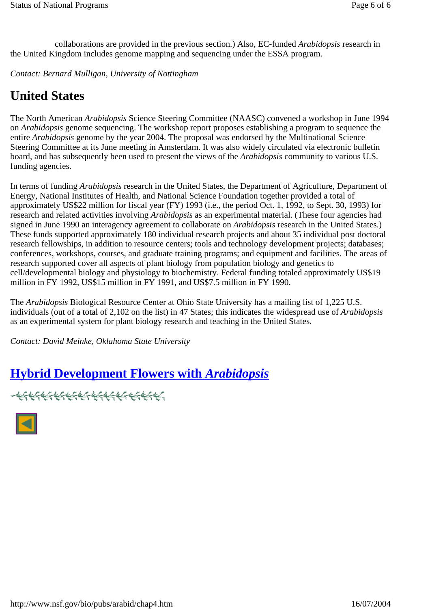collaborations are provided in the previous section.) Also, EC-funded *Arabidopsis* research in the United Kingdom includes genome mapping and sequencing under the ESSA program.

*Contact: Bernard Mulligan, University of Nottingham*

## **United States**

The North American *Arabidopsis* Science Steering Committee (NAASC) convened a workshop in June 1994 on *Arabidopsis* genome sequencing. The workshop report proposes establishing a program to sequence the entire *Arabidopsis* genome by the year 2004. The proposal was endorsed by the Multinational Science Steering Committee at its June meeting in Amsterdam. It was also widely circulated via electronic bulletin board, and has subsequently been used to present the views of the *Arabidopsis* community to various U.S. funding agencies.

In terms of funding *Arabidopsis* research in the United States, the Department of Agriculture, Department of Energy, National Institutes of Health, and National Science Foundation together provided a total of approximately US\$22 million for fiscal year (FY) 1993 (i.e., the period Oct. 1, 1992, to Sept. 30, 1993) for research and related activities involving *Arabidopsis* as an experimental material. (These four agencies had signed in June 1990 an interagency agreement to collaborate on *Arabidopsis* research in the United States.) These funds supported approximately 180 individual research projects and about 35 individual post doctoral research fellowships, in addition to resource centers; tools and technology development projects; databases; conferences, workshops, courses, and graduate training programs; and equipment and facilities. The areas of research supported cover all aspects of plant biology from population biology and genetics to cell/developmental biology and physiology to biochemistry. Federal funding totaled approximately US\$19 million in FY 1992, US\$15 million in FY 1991, and US\$7.5 million in FY 1990.

The *Arabidopsis* Biological Resource Center at Ohio State University has a mailing list of 1,225 U.S. individuals (out of a total of 2,102 on the list) in 47 States; this indicates the widespread use of *Arabidopsis* as an experimental system for plant biology research and teaching in the United States.

*Contact: David Meinke, Oklahoma State University*

# **Hybrid Development Flowers with** *Arabidopsis*

### -<del>4444444444444444444</del>4

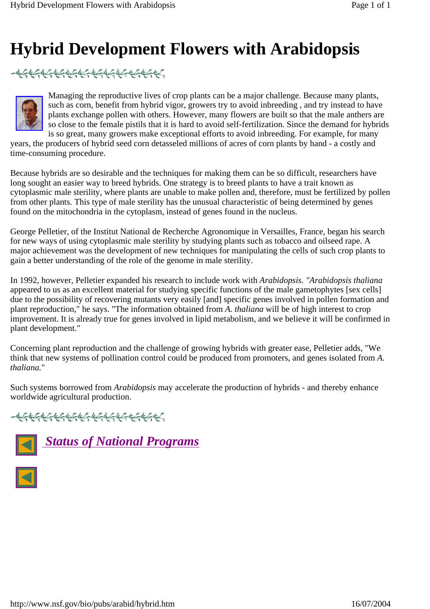# **Hybrid Development Flowers with Arabidopsis**

### <del>੶₠६₠६₠८</del>₺<del>८</del>₺८₺८₺८₺८₺८₺८₺८



Managing the reproductive lives of crop plants can be a major challenge. Because many plants, such as corn, benefit from hybrid vigor, growers try to avoid inbreeding , and try instead to have plants exchange pollen with others. However, many flowers are built so that the male anthers are so close to the female pistils that it is hard to avoid self-fertilization. Since the demand for hybrids is so great, many growers make exceptional efforts to avoid inbreeding. For example, for many

years, the producers of hybrid seed corn detasseled millions of acres of corn plants by hand - a costly and time-consuming procedure.

Because hybrids are so desirable and the techniques for making them can be so difficult, researchers have long sought an easier way to breed hybrids. One strategy is to breed plants to have a trait known as cytoplasmic male sterility, where plants are unable to make pollen and, therefore, must be fertilized by pollen from other plants. This type of male sterility has the unusual characteristic of being determined by genes found on the mitochondria in the cytoplasm, instead of genes found in the nucleus.

George Pelletier, of the Institut National de Recherche Agronomique in Versailles, France, began his search for new ways of using cytoplasmic male sterility by studying plants such as tobacco and oilseed rape. A major achievement was the development of new techniques for manipulating the cells of such crop plants to gain a better understanding of the role of the genome in male sterility.

In 1992, however, Pelletier expanded his research to include work with *Arabidopsis. "Arabidopsis thaliana*  appeared to us as an excellent material for studying specific functions of the male gametophytes [sex cells] due to the possibility of recovering mutants very easily [and] specific genes involved in pollen formation and plant reproduction," he says. "The information obtained from *A. thaliana* will be of high interest to crop improvement. It is already true for genes involved in lipid metabolism, and we believe it will be confirmed in plant development."

Concerning plant reproduction and the challenge of growing hybrids with greater ease, Pelletier adds, "We think that new systems of pollination control could be produced from promoters, and genes isolated from *A. thaliana.*"

Such systems borrowed from *Arabidopsis* may accelerate the production of hybrids - and thereby enhance worldwide agricultural production.

### -444444444444444444444



*Status of National Programs*

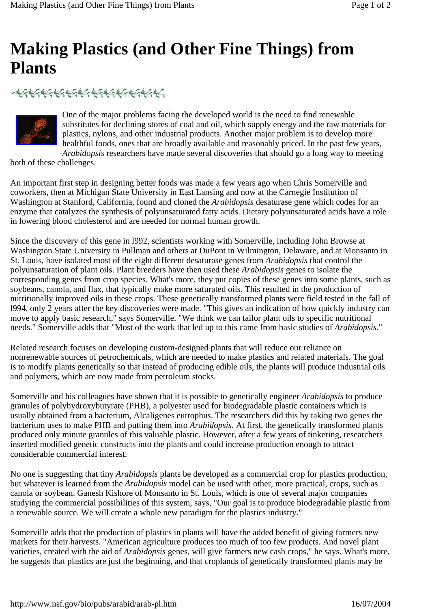# **Making Plastics (and Other Fine Things) from Plants**

### **€**G€G€G€G€G€G€G€G€G€G€G€G€C



One of the major problems facing the developed world is the need to find renewable substitutes for declining stores of coal and oil, which supply energy and the raw materials for plastics, nylons, and other industrial products. Another major problem is to develop more healthful foods, ones that are broadly available and reasonably priced. In the past few years, *Arabidopsis* researchers have made several discoveries that should go a long way to meeting

both of these challenges.

An important first step in designing better foods was made a few years ago when Chris Somerville and coworkers, then at Michigan State University in East Lansing and now at the Carnegie Institution of Washington at Stanford, California, found and cloned the *Arabidopsis* desaturase gene which codes for an enzyme that catalyzes the synthesis of polyunsaturated fatty acids. Dietary polyunsaturated acids have a role in lowering blood cholesterol and are needed for normal human growth.

Since the discovery of this gene in l992, scientists working with Somerville, including John Browse at Washington State University in Pullman and others at DuPont in Wilmington, Delaware, and at Monsanto in St. Louis, have isolated most of the eight different desaturase genes from *Arabidopsis* that control the polyunsaturation of plant oils. Plant breeders have then used these *Arabidopsis* genes to isolate the corresponding genes from crop species. What's more, they put copies of these genes into some plants, such as soybeans, canola, and flax, that typically make more saturated oils. This resulted in the production of nutritionally improved oils in these crops. These genetically transformed plants were field tested in the fall of l994, only 2 years after the key discoveries were made. "This gives an indication of how quickly industry can move to apply basic research," says Somerville. "We think we can tailor plant oils to specific nutritional needs." Somerville adds that "Most of the work that led up to this came from basic studies of *Arabidopsis*."

Related research focuses on developing custom-designed plants that will reduce our reliance on nonrenewable sources of petrochemicals, which are needed to make plastics and related materials. The goal is to modify plants genetically so that instead of producing edible oils, the plants will produce industrial oils and polymers, which are now made from petroleum stocks.

Somerville and his colleagues have shown that it is possible to genetically engineer *Arabidopsis* to produce granules of polyhydroxybutyrate (PHB), a polyester used for biodegradable plastic containers which is usually obtained from a bacterium, Alcaligenes eutrophus. The researchers did this by taking two genes the bacterium uses to make PHB and putting them into *Arabidopsis*. At first, the genetically transformed plants produced only minute granules of this valuable plastic. However, after a few years of tinkering, researchers inserted modified genetic constructs into the plants and could increase production enough to attract considerable commercial interest.

No one is suggesting that tiny *Arabidopsis* plants be developed as a commercial crop for plastics production, but whatever is learned from the *Arabidopsis* model can be used with other, more practical, crops, such as canola or soybean. Ganesh Kishore of Monsanto in St. Louis, which is one of several major companies studying the commercial possibilities of this system, says, "Our goal is to produce biodegradable plastic from a renewable source. We will create a whole new paradigm for the plastics industry."

Somerville adds that the production of plastics in plants will have the added benefit of giving farmers new markets for their harvests. "American agriculture produces too much of too few products. And novel plant varieties, created with the aid of *Arabidopsis* genes, will give farmers new cash crops," he says. What's more, he suggests that plastics are just the beginning, and that croplands of genetically transformed plants may be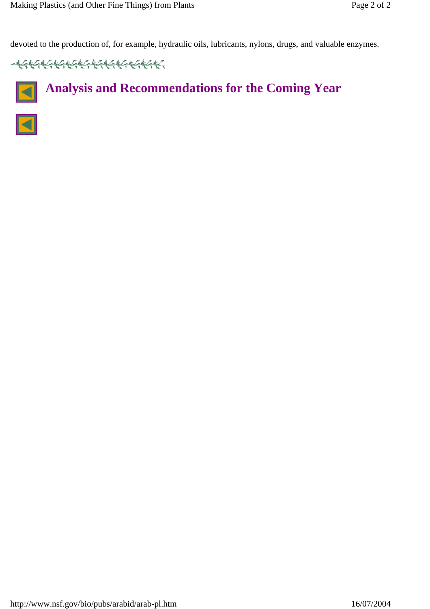devoted to the production of, for example, hydraulic oils, lubricants, nylons, drugs, and valuable enzymes.



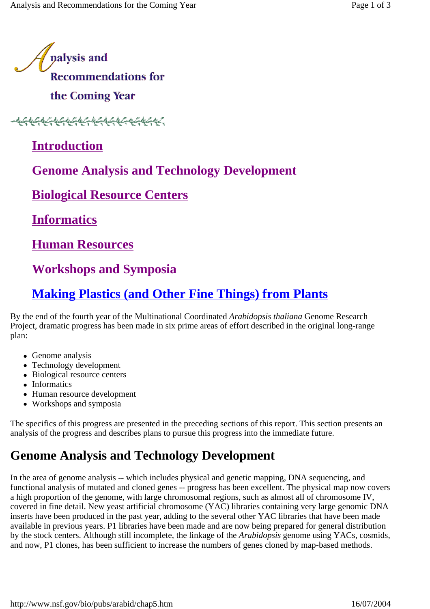

### -\$4\$444\$4\$\$\$\$4\$4\$4\$4\$\$\$\$

### **Introduction**

**Genome Analysis and Technology Development**

**Biological Resource Centers**

**Informatics**

**Human Resources**

**Workshops and Symposia**

### **Making Plastics (and Other Fine Things) from Plants**

By the end of the fourth year of the Multinational Coordinated *Arabidopsis thaliana* Genome Research Project, dramatic progress has been made in six prime areas of effort described in the original long-range plan:

- Genome analysis
- Technology development
- Biological resource centers
- Informatics
- Human resource development
- Workshops and symposia

The specifics of this progress are presented in the preceding sections of this report. This section presents an analysis of the progress and describes plans to pursue this progress into the immediate future.

### **Genome Analysis and Technology Development**

In the area of genome analysis -- which includes physical and genetic mapping, DNA sequencing, and functional analysis of mutated and cloned genes -- progress has been excellent. The physical map now covers a high proportion of the genome, with large chromosomal regions, such as almost all of chromosome IV, covered in fine detail. New yeast artificial chromosome (YAC) libraries containing very large genomic DNA inserts have been produced in the past year, adding to the several other YAC libraries that have been made available in previous years. P1 libraries have been made and are now being prepared for general distribution by the stock centers. Although still incomplete, the linkage of the *Arabidopsis* genome using YACs, cosmids, and now, P1 clones, has been sufficient to increase the numbers of genes cloned by map-based methods.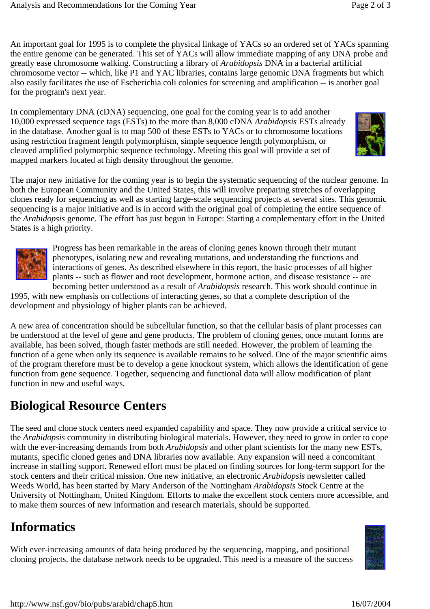An important goal for 1995 is to complete the physical linkage of YACs so an ordered set of YACs spanning the entire genome can be generated. This set of YACs will allow immediate mapping of any DNA probe and greatly ease chromosome walking. Constructing a library of *Arabidopsis* DNA in a bacterial artificial chromosome vector -- which, like P1 and YAC libraries, contains large genomic DNA fragments but which also easily facilitates the use of Escherichia coli colonies for screening and amplification -- is another goal for the program's next year.

In complementary DNA (cDNA) sequencing, one goal for the coming year is to add another 10,000 expressed sequence tags (ESTs) to the more than 8,000 cDNA *Arabidopsis* ESTs already in the database. Another goal is to map 500 of these ESTs to YACs or to chromosome locations using restriction fragment length polymorphism, simple sequence length polymorphism, or cleaved amplified polymorphic sequence technology. Meeting this goal will provide a set of mapped markers located at high density throughout the genome.



The major new initiative for the coming year is to begin the systematic sequencing of the nuclear genome. In both the European Community and the United States, this will involve preparing stretches of overlapping clones ready for sequencing as well as starting large-scale sequencing projects at several sites. This genomic sequencing is a major initiative and is in accord with the original goal of completing the entire sequence of the *Arabidopsis* genome. The effort has just begun in Europe: Starting a complementary effort in the United States is a high priority.



Progress has been remarkable in the areas of cloning genes known through their mutant phenotypes, isolating new and revealing mutations, and understanding the functions and interactions of genes. As described elsewhere in this report, the basic processes of all higher plants -- such as flower and root development, hormone action, and disease resistance -- are becoming better understood as a result of *Arabidopsis* research. This work should continue in

1995, with new emphasis on collections of interacting genes, so that a complete description of the development and physiology of higher plants can be achieved.

A new area of concentration should be subcellular function, so that the cellular basis of plant processes can be understood at the level of gene and gene products. The problem of cloning genes, once mutant forms are available, has been solved, though faster methods are still needed. However, the problem of learning the function of a gene when only its sequence is available remains to be solved. One of the major scientific aims of the program therefore must be to develop a gene knockout system, which allows the identification of gene function from gene sequence. Together, sequencing and functional data will allow modification of plant function in new and useful ways.

# **Biological Resource Centers**

The seed and clone stock centers need expanded capability and space. They now provide a critical service to the *Arabidopsis* community in distributing biological materials. However, they need to grow in order to cope with the ever-increasing demands from both *Arabidopsis* and other plant scientists for the many new ESTs, mutants, specific cloned genes and DNA libraries now available. Any expansion will need a concomitant increase in staffing support. Renewed effort must be placed on finding sources for long-term support for the stock centers and their critical mission. One new initiative, an electronic *Arabidopsis* newsletter called Weeds World, has been started by Mary Anderson of the Nottingham *Arabidopsis* Stock Centre at the University of Nottingham, United Kingdom. Efforts to make the excellent stock centers more accessible, and to make them sources of new information and research materials, should be supported.

# **Informatics**

With ever-increasing amounts of data being produced by the sequencing, mapping, and positional cloning projects, the database network needs to be upgraded. This need is a measure of the success

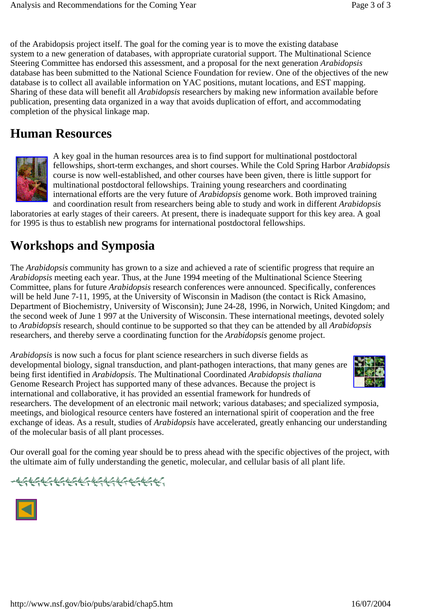of the Arabidopsis project itself. The goal for the coming year is to move the existing database system to a new generation of databases, with appropriate curatorial support. The Multinational Science Steering Committee has endorsed this assessment, and a proposal for the next generation *Arabidopsis* database has been submitted to the National Science Foundation for review. One of the objectives of the new database is to collect all available information on YAC positions, mutant locations, and EST mapping. Sharing of these data will benefit all *Arabidopsis* researchers by making new information available before publication, presenting data organized in a way that avoids duplication of effort, and accommodating completion of the physical linkage map.

### **Human Resources**



A key goal in the human resources area is to find support for multinational postdoctoral fellowships, short-term exchanges, and short courses. While the Cold Spring Harbor *Arabidopsis* course is now well-established, and other courses have been given, there is little support for multinational postdoctoral fellowships. Training young researchers and coordinating international efforts are the very future of *Arabidopsis* genome work. Both improved training and coordination result from researchers being able to study and work in different *Arabidopsis*

laboratories at early stages of their careers. At present, there is inadequate support for this key area. A goal for 1995 is thus to establish new programs for international postdoctoral fellowships.

### **Workshops and Symposia**

The *Arabidopsis* community has grown to a size and achieved a rate of scientific progress that require an *Arabidopsis* meeting each year. Thus, at the June 1994 meeting of the Multinational Science Steering Committee, plans for future *Arabidopsis* research conferences were announced. Specifically, conferences will be held June 7-11, 1995, at the University of Wisconsin in Madison (the contact is Rick Amasino, Department of Biochemistry, University of Wisconsin); June 24-28, 1996, in Norwich, United Kingdom; and the second week of June 1 997 at the University of Wisconsin. These international meetings, devoted solely to *Arabidopsis* research, should continue to be supported so that they can be attended by all *Arabidopsis* researchers, and thereby serve a coordinating function for the *Arabidopsis* genome project.

*Arabidopsis* is now such a focus for plant science researchers in such diverse fields as developmental biology, signal transduction, and plant-pathogen interactions, that many genes are being first identified in *Arabidopsis*. The Multinational Coordinated *Arabidopsis thaliana* Genome Research Project has supported many of these advances. Because the project is international and collaborative, it has provided an essential framework for hundreds of



researchers. The development of an electronic mail network; various databases; and specialized symposia, meetings, and biological resource centers have fostered an international spirit of cooperation and the free exchange of ideas. As a result, studies of *Arabidopsis* have accelerated, greatly enhancing our understanding of the molecular basis of all plant processes.

Our overall goal for the coming year should be to press ahead with the specific objectives of the project, with the ultimate aim of fully understanding the genetic, molecular, and cellular basis of all plant life.



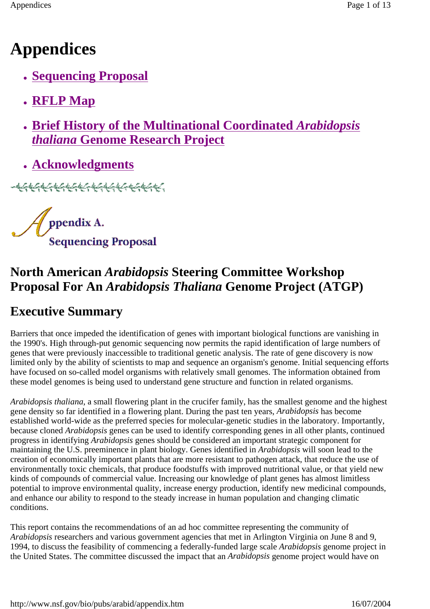# **Appendices**

- <sup>z</sup> **Sequencing Proposal**
- <sup>z</sup> **RFLP Map**
- <sup>z</sup> **Brief History of the Multinational Coordinated** *Arabidopsis thaliana* **Genome Research Project**
- <sup>z</sup> **Acknowledgments**

Appendix A. **Sequencing Proposal** 

# **North American** *Arabidopsis* **Steering Committee Workshop Proposal For An** *Arabidopsis Thaliana* **Genome Project (ATGP)**

# **Executive Summary**

Barriers that once impeded the identification of genes with important biological functions are vanishing in the 1990's. High through-put genomic sequencing now permits the rapid identification of large numbers of genes that were previously inaccessible to traditional genetic analysis. The rate of gene discovery is now limited only by the ability of scientists to map and sequence an organism's genome. Initial sequencing efforts have focused on so-called model organisms with relatively small genomes. The information obtained from these model genomes is being used to understand gene structure and function in related organisms.

*Arabidopsis thaliana*, a small flowering plant in the crucifer family, has the smallest genome and the highest gene density so far identified in a flowering plant. During the past ten years, *Arabidopsis* has become established world-wide as the preferred species for molecular-genetic studies in the laboratory. Importantly, because cloned *Arabidopsis* genes can be used to identify corresponding genes in all other plants, continued progress in identifying *Arabidopsis* genes should be considered an important strategic component for maintaining the U.S. preeminence in plant biology. Genes identified in *Arabidopsis* will soon lead to the creation of economically important plants that are more resistant to pathogen attack, that reduce the use of environmentally toxic chemicals, that produce foodstuffs with improved nutritional value, or that yield new kinds of compounds of commercial value. Increasing our knowledge of plant genes has almost limitless potential to improve environmental quality, increase energy production, identify new medicinal compounds, and enhance our ability to respond to the steady increase in human population and changing climatic conditions.

This report contains the recommendations of an ad hoc committee representing the community of *Arabidopsis* researchers and various government agencies that met in Arlington Virginia on June 8 and 9, 1994, to discuss the feasibility of commencing a federally-funded large scale *Arabidopsis* genome project in the United States. The committee discussed the impact that an *Arabidopsis* genome project would have on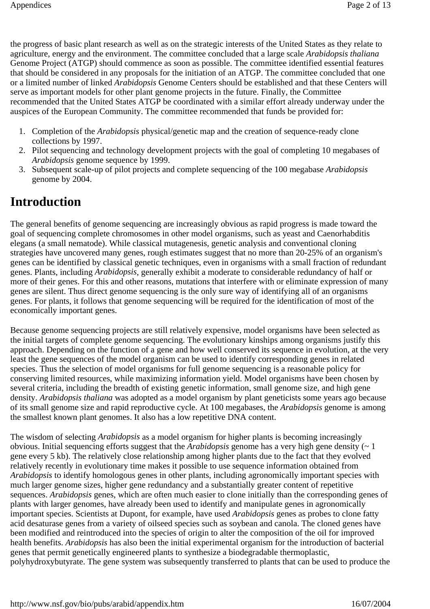the progress of basic plant research as well as on the strategic interests of the United States as they relate to agriculture, energy and the environment. The committee concluded that a large scale *Arabidopsis thaliana* Genome Project (ATGP) should commence as soon as possible. The committee identified essential features that should be considered in any proposals for the initiation of an ATGP. The committee concluded that one or a limited number of linked *Arabidopsis* Genome Centers should be established and that these Centers will serve as important models for other plant genome projects in the future. Finally, the Committee recommended that the United States ATGP be coordinated with a similar effort already underway under the auspices of the European Community. The committee recommended that funds be provided for:

- 1. Completion of the *Arabidopsis* physical/genetic map and the creation of sequence-ready clone collections by 1997.
- 2. Pilot sequencing and technology development projects with the goal of completing 10 megabases of *Arabidopsis* genome sequence by 1999.
- 3. Subsequent scale-up of pilot projects and complete sequencing of the 100 megabase *Arabidopsis* genome by 2004.

### **Introduction**

The general benefits of genome sequencing are increasingly obvious as rapid progress is made toward the goal of sequencing complete chromosomes in other model organisms, such as yeast and Caenorhabditis elegans (a small nematode). While classical mutagenesis, genetic analysis and conventional cloning strategies have uncovered many genes, rough estimates suggest that no more than 20-25% of an organism's genes can be identified by classical genetic techniques, even in organisms with a small fraction of redundant genes. Plants, including *Arabidopsis*, generally exhibit a moderate to considerable redundancy of half or more of their genes. For this and other reasons, mutations that interfere with or eliminate expression of many genes are silent. Thus direct genome sequencing is the only sure way of identifying all of an organisms genes. For plants, it follows that genome sequencing will be required for the identification of most of the economically important genes.

Because genome sequencing projects are still relatively expensive, model organisms have been selected as the initial targets of complete genome sequencing. The evolutionary kinships among organisms justify this approach. Depending on the function of a gene and how well conserved its sequence in evolution, at the very least the gene sequences of the model organism can be used to identify corresponding genes in related species. Thus the selection of model organisms for full genome sequencing is a reasonable policy for conserving limited resources, while maximizing information yield. Model organisms have been chosen by several criteria, including the breadth of existing genetic information, small genome size, and high gene density. *Arabidopsis thaliana* was adopted as a model organism by plant geneticists some years ago because of its small genome size and rapid reproductive cycle. At 100 megabases, the *Arabidopsis* genome is among the smallest known plant genomes. It also has a low repetitive DNA content.

The wisdom of selecting *Arabidopsis* as a model organism for higher plants is becoming increasingly obvious. Initial sequencing efforts suggest that the *Arabidopsis* genome has a very high gene density (~ 1 gene every 5 kb). The relatively close relationship among higher plants due to the fact that they evolved relatively recently in evolutionary time makes it possible to use sequence information obtained from *Arabidopsis* to identify homologous genes in other plants, including agronomically important species with much larger genome sizes, higher gene redundancy and a substantially greater content of repetitive sequences. *Arabidopsis* genes, which are often much easier to clone initially than the corresponding genes of plants with larger genomes, have already been used to identify and manipulate genes in agronomically important species. Scientists at Dupont, for example, have used *Arabidopsis* genes as probes to clone fatty acid desaturase genes from a variety of oilseed species such as soybean and canola. The cloned genes have been modified and reintroduced into the species of origin to alter the composition of the oil for improved health benefits. *Arabidopsis* has also been the initial experimental organism for the introduction of bacterial genes that permit genetically engineered plants to synthesize a biodegradable thermoplastic, polyhydroxybutyrate. The gene system was subsequently transferred to plants that can be used to produce the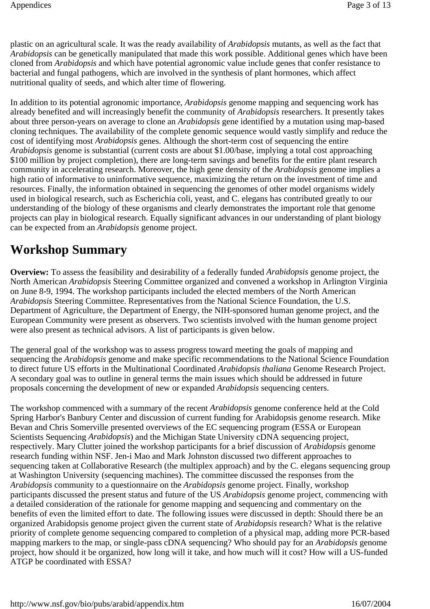plastic on an agricultural scale. It was the ready availability of *Arabidopsis* mutants, as well as the fact that *Arabidopsis* can be genetically manipulated that made this work possible. Additional genes which have been cloned from *Arabidopsis* and which have potential agronomic value include genes that confer resistance to bacterial and fungal pathogens, which are involved in the synthesis of plant hormones, which affect nutritional quality of seeds, and which alter time of flowering.

In addition to its potential agronomic importance, *Arabidopsis* genome mapping and sequencing work has already benefited and will increasingly benefit the community of *Arabidopsis* researchers. It presently takes about three person-years on average to clone an *Arabidopsis* gene identified by a mutation using map-based cloning techniques. The availability of the complete genomic sequence would vastly simplify and reduce the cost of identifying most *Arabidopsis* genes. Although the short-term cost of sequencing the entire *Arabidopsis* genome is substantial (current costs are about \$1.00/base, implying a total cost approaching \$100 million by project completion), there are long-term savings and benefits for the entire plant research community in accelerating research. Moreover, the high gene density of the *Arabidopsis* genome implies a high ratio of informative to uninformative sequence, maximizing the return on the investment of time and resources. Finally, the information obtained in sequencing the genomes of other model organisms widely used in biological research, such as Escherichia coli, yeast, and C. elegans has contributed greatly to our understanding of the biology of these organisms and clearly demonstrates the important role that genome projects can play in biological research. Equally significant advances in our understanding of plant biology can be expected from an *Arabidopsis* genome project.

# **Workshop Summary**

**Overview:** To assess the feasibility and desirability of a federally funded *Arabidopsis* genome project, the North American *Arabidopsis* Steering Committee organized and convened a workshop in Arlington Virginia on June 8-9, 1994. The workshop participants included the elected members of the North American *Arabidopsis* Steering Committee. Representatives from the National Science Foundation, the U.S. Department of Agriculture, the Department of Energy, the NIH-sponsored human genome project, and the European Community were present as observers. Two scientists involved with the human genome project were also present as technical advisors. A list of participants is given below.

The general goal of the workshop was to assess progress toward meeting the goals of mapping and sequencing the *Arabidopsis* genome and make specific recommendations to the National Science Foundation to direct future US efforts in the Multinational Coordinated *Arabidopsis thaliana* Genome Research Project. A secondary goal was to outline in general terms the main issues which should be addressed in future proposals concerning the development of new or expanded *Arabidopsis* sequencing centers.

The workshop commenced with a summary of the recent *Arabidopsis* genome conference held at the Cold Spring Harbor's Banbury Center and discussion of current funding for Arabidopsis genome research. Mike Bevan and Chris Somerville presented overviews of the EC sequencing program (ESSA or European Scientists Sequencing *Arabidopsis*) and the Michigan State University cDNA sequencing project, respectively. Mary Clutter joined the workshop participants for a brief discussion of *Arabidopsis* genome research funding within NSF. Jen-i Mao and Mark Johnston discussed two different approaches to sequencing taken at Collaborative Research (the multiplex approach) and by the C. elegans sequencing group at Washington University (sequencing machines). The committee discussed the responses from the *Arabidopsis* community to a questionnaire on the *Arabidopsis* genome project. Finally, workshop participants discussed the present status and future of the US *Arabidopsis* genome project, commencing with a detailed consideration of the rationale for genome mapping and sequencing and commentary on the benefits of even the limited effort to date. The following issues were discussed in depth: Should there be an organized Arabidopsis genome project given the current state of *Arabidopsis* research? What is the relative priority of complete genome sequencing compared to completion of a physical map, adding more PCR-based mapping markers to the map, or single-pass cDNA sequencing? Who should pay for an *Arabidopsis* genome project, how should it be organized, how long will it take, and how much will it cost? How will a US-funded ATGP be coordinated with ESSA?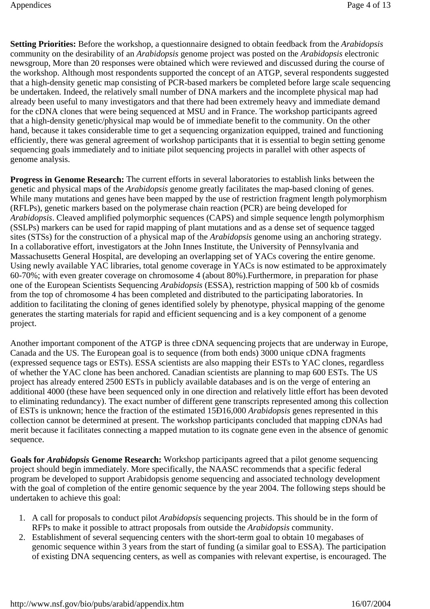**Setting Priorities:** Before the workshop, a questionnaire designed to obtain feedback from the *Arabidopsis* community on the desirability of an *Arabidopsis* genome project was posted on the *Arabidopsis* electronic newsgroup, More than 20 responses were obtained which were reviewed and discussed during the course of the workshop. Although most respondents supported the concept of an ATGP, several respondents suggested that a high-density genetic map consisting of PCR-based markers be completed before large scale sequencing be undertaken. Indeed, the relatively small number of DNA markers and the incomplete physical map had already been useful to many investigators and that there had been extremely heavy and immediate demand for the cDNA clones that were being sequenced at MSU and in France. The workshop participants agreed that a high-density genetic/physical map would be of immediate benefit to the community. On the other hand, because it takes considerable time to get a sequencing organization equipped, trained and functioning efficiently, there was general agreement of workshop participants that it is essential to begin setting genome sequencing goals immediately and to initiate pilot sequencing projects in parallel with other aspects of genome analysis.

**Progress in Genome Research:** The current efforts in several laboratories to establish links between the genetic and physical maps of the *Arabidopsis* genome greatly facilitates the map-based cloning of genes. While many mutations and genes have been mapped by the use of restriction fragment length polymorphism (RFLPs), genetic markers based on the polymerase chain reaction (PCR) are being developed for *Arabidopsis*. Cleaved amplified polymorphic sequences (CAPS) and simple sequence length polymorphism (SSLPs) markers can be used for rapid mapping of plant mutations and as a dense set of sequence tagged sites (STSs) for the construction of a physical map of the *Arabidopsis* genome using an anchoring strategy. In a collaborative effort, investigators at the John Innes Institute, the University of Pennsylvania and Massachusetts General Hospital, are developing an overlapping set of YACs covering the entire genome. Using newly available YAC libraries, total genome coverage in YACs is now estimated to be approximately 60-70%; with even greater coverage on chromosome 4 (about 80%).Furthermore, in preparation for phase one of the European Scientists Sequencing *Arabidopsis* (ESSA), restriction mapping of 500 kb of cosmids from the top of chromosome 4 has been completed and distributed to the participating laboratories. In addition to facilitating the cloning of genes identified solely by phenotype, physical mapping of the genome generates the starting materials for rapid and efficient sequencing and is a key component of a genome project.

Another important component of the ATGP is three cDNA sequencing projects that are underway in Europe, Canada and the US. The European goal is to sequence (from both ends) 3000 unique cDNA fragments (expressed sequence tags or ESTs). ESSA scientists are also mapping their ESTs to YAC clones, regardless of whether the YAC clone has been anchored. Canadian scientists are planning to map 600 ESTs. The US project has already entered 2500 ESTs in publicly available databases and is on the verge of entering an additional 4000 (these have been sequenced only in one direction and relatively little effort has been devoted to eliminating redundancy). The exact number of different gene transcripts represented among this collection of ESTs is unknown; hence the fraction of the estimated 15Ð16,000 *Arabidopsis* genes represented in this collection cannot be determined at present. The workshop participants concluded that mapping cDNAs had merit because it facilitates connecting a mapped mutation to its cognate gene even in the absence of genomic sequence.

**Goals for** *Arabidopsis* **Genome Research:** Workshop participants agreed that a pilot genome sequencing project should begin immediately. More specifically, the NAASC recommends that a specific federal program be developed to support Arabidopsis genome sequencing and associated technology development with the goal of completion of the entire genomic sequence by the year 2004. The following steps should be undertaken to achieve this goal:

- 1. A call for proposals to conduct pilot *Arabidopsis* sequencing projects. This should be in the form of RFPs to make it possible to attract proposals from outside the *Arabidopsis* community.
- 2. Establishment of several sequencing centers with the short-term goal to obtain 10 megabases of genomic sequence within 3 years from the start of funding (a similar goal to ESSA). The participation of existing DNA sequencing centers, as well as companies with relevant expertise, is encouraged. The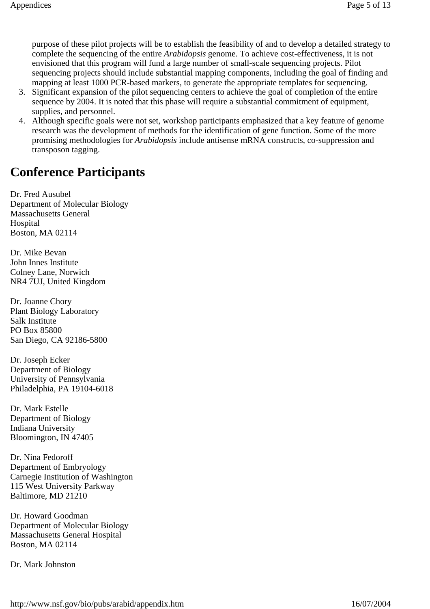purpose of these pilot projects will be to establish the feasibility of and to develop a detailed strategy to complete the sequencing of the entire *Arabidopsis* genome. To achieve cost-effectiveness, it is not envisioned that this program will fund a large number of small-scale sequencing projects. Pilot sequencing projects should include substantial mapping components, including the goal of finding and mapping at least 1000 PCR-based markers, to generate the appropriate templates for sequencing.

- 3. Significant expansion of the pilot sequencing centers to achieve the goal of completion of the entire sequence by 2004. It is noted that this phase will require a substantial commitment of equipment, supplies, and personnel.
- 4. Although specific goals were not set, workshop participants emphasized that a key feature of genome research was the development of methods for the identification of gene function. Some of the more promising methodologies for *Arabidopsis* include antisense mRNA constructs, co-suppression and transposon tagging.

### **Conference Participants**

Dr. Fred Ausubel Department of Molecular Biology Massachusetts General Hospital Boston, MA 02114

Dr. Mike Bevan John Innes Institute Colney Lane, Norwich NR4 7UJ, United Kingdom

Dr. Joanne Chory Plant Biology Laboratory Salk Institute PO Box 85800 San Diego, CA 92186-5800

Dr. Joseph Ecker Department of Biology University of Pennsylvania Philadelphia, PA 19104-6018

Dr. Mark Estelle Department of Biology Indiana University Bloomington, IN 47405

Dr. Nina Fedoroff Department of Embryology Carnegie Institution of Washington 115 West University Parkway Baltimore, MD 21210

Dr. Howard Goodman Department of Molecular Biology Massachusetts General Hospital Boston, MA 02114

Dr. Mark Johnston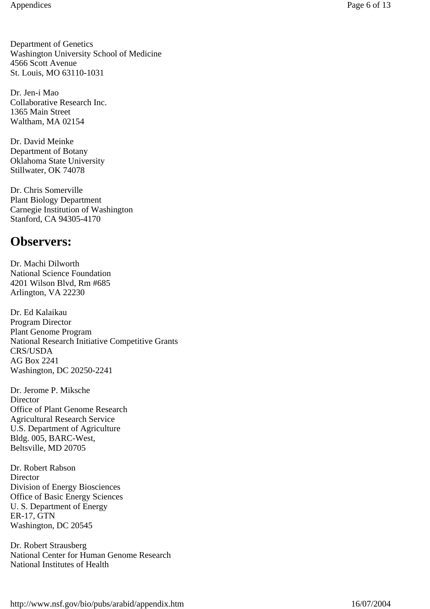Department of Genetics Washington University School of Medicine 4566 Scott Avenue St. Louis, MO 63110-1031

Dr. Jen-i Mao Collaborative Research Inc. 1365 Main Street Waltham, MA 02154

Dr. David Meinke Department of Botany Oklahoma State University Stillwater, OK 74078

Dr. Chris Somerville Plant Biology Department Carnegie Institution of Washington Stanford, CA 94305-4170

### **Observers:**

Dr. Machi Dilworth National Science Foundation 4201 Wilson Blvd, Rm #685 Arlington, VA 22230

Dr. Ed Kalaikau Program Director Plant Genome Program National Research Initiative Competitive Grants CRS/USDA AG Box 2241 Washington, DC 20250-2241

Dr. Jerome P. Miksche **Director** Office of Plant Genome Research Agricultural Research Service U.S. Department of Agriculture Bldg. 005, BARC-West, Beltsville, MD 20705

Dr. Robert Rabson **Director** Division of Energy Biosciences Office of Basic Energy Sciences U. S. Department of Energy ER-17, GTN Washington, DC 20545

Dr. Robert Strausberg National Center for Human Genome Research National Institutes of Health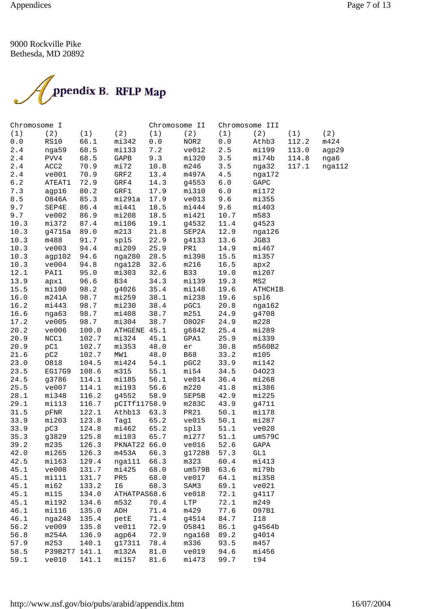9000 Rockville Pike Bethesda, MD 20892



| Chromosome I |                  |                | Chromosome II    |              | Chromosome III |         |                  |       |        |
|--------------|------------------|----------------|------------------|--------------|----------------|---------|------------------|-------|--------|
| (1)          | (2)              | (1)            | (2)              | (1)          | (2)            | (1)     | (2)              | (1)   | (2)    |
| 0.0          | RS10             | 66.1           | mi342            | 0.0          | NOR2           | 0.0     | Athb3            | 112.2 | m424   |
| 2.4          | nga59            | 68.5           | m1133            | 7.2          | ve012          | 2.5     | mi199            | 113.0 | agp29  |
| 2.4          | PVV4             | 68.5           | GAPB             | 9.3          | mi320          | 3.5     | mi74b            | 114.8 | nga6   |
| 2.4          | ACC <sub>2</sub> | 70.9           | mi72             | 10.8         | m246           | 3.5     | nga32            | 117.1 | nga112 |
| 2.4          | ve001            | 70.9           | GRF2             | 13.4         | m497A          | 4.5     | nga172           |       |        |
| 6.2          | ATEAT1           | 72.9           | GRF4             | 14.3         | g4553          | $6.0\,$ | GAPC             |       |        |
| 7.3          | agp16            | 80.2           | GRF1             | 17.9         | mi310          | $6.0\,$ | min172           |       |        |
| 8.5          | 0846A            | 85.3           | mi291a 17.9      |              | ve013          | 9.6     | mi355            |       |        |
| 9.7          | $SEP4E$ 86.4     |                | mi441            | 18.5         | mi444          | 9.6     | mi403            |       |        |
| 9.7          | ve002 86.9       |                | mi208            | 18.5         | mi421          | 10.7    | m583             |       |        |
| 10.3         | mi372            | 87.4           | mi106            | 19.1         | g4532          | 11.4    | q4523            |       |        |
| 10.3         | g4715a 89.0      |                | m213             | 21.8         | SEP2A          | 12.9    | nga126           |       |        |
| 10.3         | m488             | 91.7           | spl5             | 22.9         | g4133          | 13.6    | JGB3             |       |        |
| 10.3         | ve003            | 94.4           | mi209            | 25.9         | PR1            | 14.9    | mi467            |       |        |
| 10.3         |                  | agp102 94.6    | nga280 28.5      |              | mi398          | 15.5    | mi357            |       |        |
| 10.3         | ve004            | 94.8           | nga128 32.6      |              | m216           | 16.5    |                  |       |        |
|              | PAI1             |                |                  |              | B33            |         | apx2             |       |        |
| 12.1         |                  | 95.0           | mi303            | 32.6         |                | 19.0    | mi207            |       |        |
| 13.9         | apx1             | 96.6           | <b>B34</b>       | 34.3         | mi139          | 19.3    | MS2              |       |        |
| 15.5         | min100           | 98.2           | g4026 35.4       |              | mi148          | 19.6    | ATHCHIB          |       |        |
| 16.0         | m241A            | 98.7           | mi259 38.1       |              | mi238          | 19.6    | sp16             |       |        |
| 16.2         | mi443            | 98.7           | mi230 38.4       |              | pGC1           | 20.8    | nga162           |       |        |
| 16.6         | nga63            | 98.7           | mi408            | 38.7         | m251           | 24.9    | g4708            |       |        |
| 17.2         | ve005            | 98.7           | mi304            | 38.7         | 0802F          | 24.9    | m228             |       |        |
| 20.2         | ve006            | 100.0          | ATHGENE 45.1     |              | g6842          | 25.4    | mi289            |       |        |
| 20.9         | NCC1             | 102.7          | mi324            | 45.1         | GPA1           | 25.9    | mi339            |       |        |
| 20.9         | pc1              | 102.7          | mi353            | 48.0         | er             | 30.8    | m560B2           |       |        |
| 21.6         | pc2              | 102.7          | MW1              | 48.0         | B68            | 33.2    | m105             |       |        |
| 23.0         | 0818             | 104.5          | mi424 54.1       |              | pGC2           | 33.9    | mi142            |       |        |
| 23.5         | EG17G9           | 108.6          | m315             | 55.1         | m i 54         | 34.5    | 04023            |       |        |
| 24.5         | g3786            | 114.1          | mi185 56.1       |              | ve014          | 36.4    | mi268            |       |        |
| 25.5         | ve007            | 114.1          | mi193 56.6       |              | m220           | 41.8    | mi386            |       |        |
| 28.1         | mi348            | 116.2          | g4552            | 58.9         | SEP5B          | 42.9    | mi225            |       |        |
| 29.1         | $m$ i $113$      | 116.7          | pCITf11758.9     |              | m283C          | 43.9    | g4711            |       |        |
| 31.5         | pFNR             | 122.1          | Athb13           | 63.3         | <b>PR21</b>    | 50.1    | m <sub>178</sub> |       |        |
| 33.9         | mi203            | 123.8          | Tag1             | 65.2         | ve015          | 50.1    | mi287            |       |        |
| 33.9         | pc3              | 124.8          | mi462 65.2       |              | sp13           | 51.1    | ve020            |       |        |
| 35.3         | g3829            | 125.8          | m <sub>103</sub> | 65.7         | mi277          | 51.1    | um579C           |       |        |
|              | 39.2 m235        | 126.3          | PKNAT22 66.0     |              | ve016          | 52.6    | GAPA             |       |        |
| 42.0         | mi265            | 126.3          | m453A            | 66.3         | g17288         | 57.3    | GL1              |       |        |
| 42.5         | m <sub>163</sub> | 129.4          | nga111           | 66.3         | m323           | 60.4    | mi413            |       |        |
| 45.1         | ve008            | 131.7          | mi425            | 68.0         | um579B         | 63.6    | mi79b            |       |        |
| 45.1         | min111           | 131.7          | PR5              | 68.0         | ve017          | 64.1    | mi358            |       |        |
| 45.1         | mi62             | 133.2          | I6               | 68.3         | SAM3           | 69.1    | ve021            |       |        |
| 45.1         | min15            | 134.0          | ATHATPAS68.6     |              | ve018          | 72.1    | g4117            |       |        |
| 45.1         | mi192            | 134.6          | m532             | 70.4         | $_{\rm LTP}$   | 72.1    | m249             |       |        |
| 46.1         | min116           | 135.0          | ADH              | 71.4         | m429           | 77.6    | 097B1            |       |        |
| 46.1         |                  |                |                  |              | q4514          | 84.7    |                  |       |        |
| 56.2         | nga248           | 135.4<br>135.8 | petE             | 71.4<br>72.9 |                | 86.1    | <b>I18</b>       |       |        |
|              | ve009            | 136.9          | ve011            |              | 05841          |         | g4564b           |       |        |
| 56.8         | m254A            |                | agp64            | 72.9         | nga168         | 89.2    | g4014            |       |        |
| 57.9         | m253             | 140.1          | g17311           | 78.4         | m336           | 93.5    | m457             |       |        |
| 58.5         | P39B2T7 141.1    |                | m132A            | 81.0         | ve019          | 94.6    | mi456            |       |        |
| 59.1         | ve010            | 141.1          | mi157            | 81.6         | mi473          | 99.7    | t94              |       |        |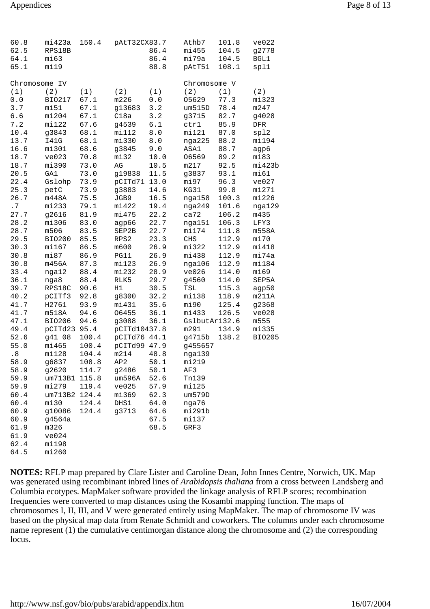| 60.8          | mi423a        | 150.4    | pAtT32CX83.7           |         | Athb7         | 101.8        | ve022         |
|---------------|---------------|----------|------------------------|---------|---------------|--------------|---------------|
| 62.5          | RPS18B        |          |                        | 86.4    | mi455         | 104.5        | g2778         |
| 64.1          | mi63          |          |                        | 86.4    | mi79a         | 104.5        | BGL1          |
| 65.1          | min19         |          |                        | 88.8    | pAtT51        | 108.1        | spl1          |
|               |               |          |                        |         |               |              |               |
| Chromosome IV |               |          |                        |         | Chromosome V  |              |               |
| (1)           | (2)           | (1)      | (2)                    | (1)     | (2)           | (1)          | (2)           |
| $0.0$         | <b>BIO217</b> | 67.1     | m226                   | $0.0$   | 05629         | 77.3         | mi323         |
| 3.7           | mi51          | 67.1     | g13683                 | 3.2     | um515D        | 78.4         | m247          |
| $6.6$         | mi204         | 67.1     | C18a                   | 3.2     | g3715         | 82.7         | g4028         |
| 7.2           | min122        | 67.6     | g4539                  | $6.1\,$ | ctr1          | 85.9         | DFR           |
| 10.4          | g3843         | 68.1     | min12                  | $8.0$   | min121        |              | sp12          |
| 13.7          | I41G          | 68.1     | mi330                  | $8.0$   |               | 87.0<br>88.2 | $m$ i194      |
|               |               |          |                        |         | nga225        |              |               |
| 16.6          | mi301         | 68.6     | g3845                  | 9.0     | ASA1          | 88.7         | agp6          |
| 18.7          | ve023         | $70.8\,$ | mi32                   | 10.0    | 06569         | 89.2         | mi83          |
| 18.7          | mi390         | 73.0     | $\mathbb{A}\mathbb{G}$ | 10.5    | m217          | 92.5         | mi423b        |
| 20.5          | GA1           | 73.0     | g19838                 | 11.5    | g3837         | 93.1         | mi61          |
| 22.4          | Gslohp        | 73.9     | pCITd71 13.0           |         | mi97          | 96.3         | ve027         |
| 25.3          | petC          | 73.9     | g3883                  | 14.6    | KG31          | 99.8         | mi271         |
| 26.7          | m448A         | 75.5     | JGB9                   | 16.5    | nga158        | 100.3        | mi226         |
| .7            | mi233         | 79.1     | mi422                  | 19.4    | nga249        | 101.6        | nga129        |
| 27.7          | g2616         | 81.9     | mi475                  | 22.2    | ca72          | 106.2        | m435          |
| 28.2          | mi306         | 83.0     | agp66                  | 22.7    | nga151        | 106.3        | LFY3          |
| 28.7          | m506          | 83.5     | SEP2B                  | 22.7    | mi174         | 111.8        | m558A         |
| 29.5          | <b>BIO200</b> | 85.5     | RPS2                   | 23.3    | CHS           | 112.9        | mi70          |
| 30.3          | mi167         | 86.5     | m600                   | 26.9    | mi322         | 112.9        | mi418         |
| 30.8          | mi87          | 86.9     | PG11                   | 26.9    | mi438         | 112.9        | mi74a         |
| 30.8          | m456A         | 87.3     | m1123                  | 26.9    | nga106        | 112.9        | m1184         |
| 33.4          | nga12         | 88.4     | mi232                  | 28.9    | ve026         | 114.0        | mi69          |
| 36.1          | nga8          | 88.4     | RLK5                   | 29.7    | g4560         | 114.0        | SEP5A         |
| 39.7          | RPS18C        | 90.6     | H1                     | 30.5    | TSL           | 115.3        | agp50         |
| 40.2          | pCITf3        | 92.8     | g8300                  | 32.2    | mi138         | 118.9        | m211A         |
| 41.7          | H2761         | 93.9     | mi431                  | 35.6    | mi90          | 125.4        | g2368         |
| 41.7          | m518A         | 94.6     | 06455                  | 36.1    | mi433         | 126.5        | ve028         |
| 47.1          | <b>BIO206</b> | 94.6     | g3088                  | 36.1    | GslbutAr132.6 |              | m555          |
| 49.4          | pCITd23 95.4  |          | pCITd10437.8           |         | m291          | 134.9        | mi335         |
| 52.6          | g41 08        | 100.4    | pCITd76 44.1           |         | g4715b        | 138.2        | <b>BIO205</b> |
| 55.0          | mi465         | 100.4    | pCITd99 47.9           |         | g455657       |              |               |
| .8            | m1128         | 104.4    | m214                   |         | nga139        |              |               |
|               |               |          |                        | 48.8    |               |              |               |
| 58.9          | g6837         | 108.8    | AP2                    | 50.1    | mi219         |              |               |
| 58.9          | g2620         | 114.7    | g2486                  | 50.1    | AF3           |              |               |
| 59.9          | um713B1 115.8 |          | um596A                 | 52.6    | Tn139         |              |               |
| 59.9          | mi279         | 119.4    | ve025                  | 57.9    | m125          |              |               |
| 60.4          | um713B2 124.4 |          | mi369                  | 62.3    | um579D        |              |               |
| 60.4          | mi30          | 124.4    | DHS1                   | 64.0    | nga76         |              |               |
| 60.9          | g10086        | 124.4    | g3713                  | 64.6    | mi291b        |              |               |
| 60.9          | g4564a        |          |                        | 67.5    | $m$ i137      |              |               |
| 61.9          | m326          |          |                        | 68.5    | GRF3          |              |               |
| 61.9          | ve024         |          |                        |         |               |              |               |
| 62.4          | mi198         |          |                        |         |               |              |               |
| 64.5          | mi260         |          |                        |         |               |              |               |

**NOTES:** RFLP map prepared by Clare Lister and Caroline Dean, John Innes Centre, Norwich, UK. Map was generated using recombinant inbred lines of *Arabidopsis thaliana* from a cross between Landsberg and Columbia ecotypes. MapMaker software provided the linkage analysis of RFLP scores; recombination frequencies were converted to map distances using the Kosambi mapping function. The maps of chromosomes I, II, III, and V were generated entirely using MapMaker. The map of chromosome IV was based on the physical map data from Renate Schmidt and coworkers. The columns under each chromosome name represent (1) the cumulative centimorgan distance along the chromosome and (2) the corresponding locus.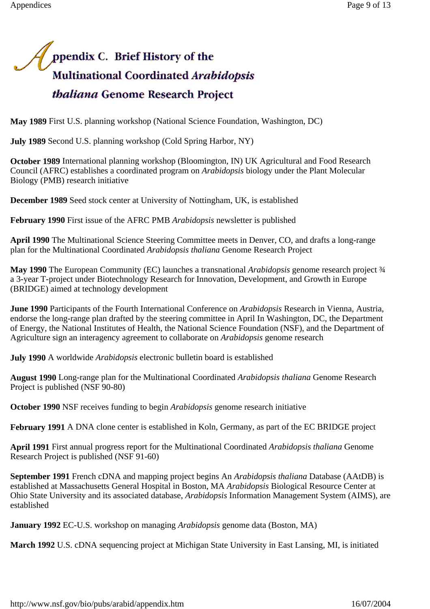# ppendix C. Brief History of the Multinational Coordinated Arabidopsis thaliana Genome Research Project

**May 1989** First U.S. planning workshop (National Science Foundation, Washington, DC)

**July 1989** Second U.S. planning workshop (Cold Spring Harbor, NY)

**October 1989** International planning workshop (Bloomington, IN) UK Agricultural and Food Research Council (AFRC) establishes a coordinated program on *Arabidopsis* biology under the Plant Molecular Biology (PMB) research initiative

**December 1989** Seed stock center at University of Nottingham, UK, is established

**February 1990** First issue of the AFRC PMB *Arabidopsis* newsletter is published

**April 1990** The Multinational Science Steering Committee meets in Denver, CO, and drafts a long-range plan for the Multinational Coordinated *Arabidopsis thaliana* Genome Research Project

**May 1990** The European Community (EC) launches a transnational *Arabidopsis* genome research project ¾ a 3-year T-project under Biotechnology Research for Innovation, Development, and Growth in Europe (BRIDGE) aimed at technology development

**June 1990** Participants of the Fourth International Conference on *Arabidopsis* Research in Vienna, Austria, endorse the long-range plan drafted by the steering committee in April In Washington, DC, the Department of Energy, the National Institutes of Health, the National Science Foundation (NSF), and the Department of Agriculture sign an interagency agreement to collaborate on *Arabidopsis* genome research

**July 1990** A worldwide *Arabidopsis* electronic bulletin board is established

**August 1990** Long-range plan for the Multinational Coordinated *Arabidopsis thaliana* Genome Research Project is published (NSF 90-80)

**October 1990** NSF receives funding to begin *Arabidopsis* genome research initiative

**February 1991** A DNA clone center is established in Koln, Germany, as part of the EC BRIDGE project

**April 1991** First annual progress report for the Multinational Coordinated *Arabidopsis thaliana* Genome Research Project is published (NSF 91-60)

**September 1991** French cDNA and mapping project begins An *Arabidopsis thaliana* Database (AAtDB) is established at Massachusetts General Hospital in Boston, MA *Arabidopsis* Biological Resource Center at Ohio State University and its associated database, *Arabidopsis* Information Management System (AIMS), are established

**January 1992** EC-U.S. workshop on managing *Arabidopsis* genome data (Boston, MA)

**March 1992** U.S. cDNA sequencing project at Michigan State University in East Lansing, MI, is initiated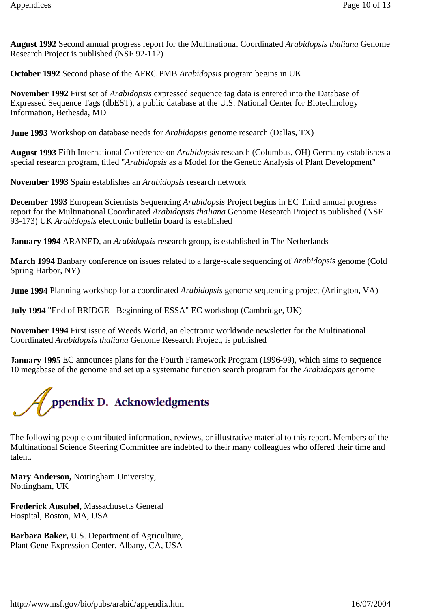**August 1992** Second annual progress report for the Multinational Coordinated *Arabidopsis thaliana* Genome Research Project is published (NSF 92-112)

**October 1992** Second phase of the AFRC PMB *Arabidopsis* program begins in UK

**November 1992** First set of *Arabidopsis* expressed sequence tag data is entered into the Database of Expressed Sequence Tags (dbEST), a public database at the U.S. National Center for Biotechnology Information, Bethesda, MD

**June 1993** Workshop on database needs for *Arabidopsis* genome research (Dallas, TX)

**August 1993** Fifth International Conference on *Arabidopsis* research (Columbus, OH) Germany establishes a special research program, titled "*Arabidopsis* as a Model for the Genetic Analysis of Plant Development"

**November 1993** Spain establishes an *Arabidopsis* research network

**December 1993** European Scientists Sequencing *Arabidopsis* Project begins in EC Third annual progress report for the Multinational Coordinated *Arabidopsis thaliana* Genome Research Project is published (NSF 93-173) UK *Arabidopsis* electronic bulletin board is established

**January 1994** ARANED, an *Arabidopsis* research group, is established in The Netherlands

**March 1994** Banbary conference on issues related to a large-scale sequencing of *Arabidopsis* genome (Cold Spring Harbor, NY)

**June 1994** Planning workshop for a coordinated *Arabidopsis* genome sequencing project (Arlington, VA)

**July 1994** "End of BRIDGE - Beginning of ESSA" EC workshop (Cambridge, UK)

**November 1994** First issue of Weeds World, an electronic worldwide newsletter for the Multinational Coordinated *Arabidopsis thaliana* Genome Research Project, is published

**January 1995** EC announces plans for the Fourth Framework Program (1996-99), which aims to sequence 10 megabase of the genome and set up a systematic function search program for the *Arabidopsis* genome



The following people contributed information, reviews, or illustrative material to this report. Members of the Multinational Science Steering Committee are indebted to their many colleagues who offered their time and talent.

**Mary Anderson,** Nottingham University, Nottingham, UK

**Frederick Ausubel,** Massachusetts General Hospital, Boston, MA, USA

**Barbara Baker,** U.S. Department of Agriculture, Plant Gene Expression Center, Albany, CA, USA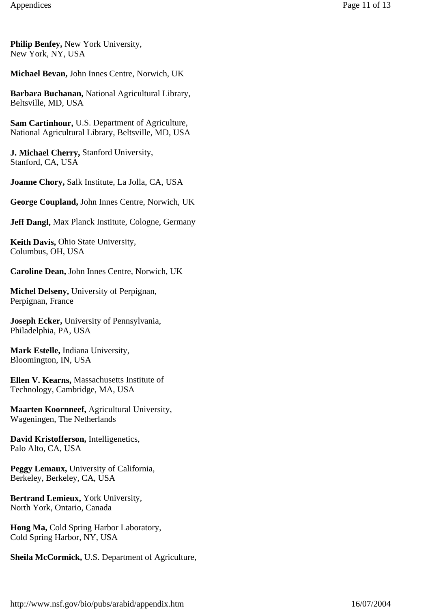**Philip Benfey,** New York University, New York, NY, USA

**Michael Bevan,** John Innes Centre, Norwich, UK

**Barbara Buchanan,** National Agricultural Library, Beltsville, MD, USA

**Sam Cartinhour,** U.S. Department of Agriculture, National Agricultural Library, Beltsville, MD, USA

**J. Michael Cherry,** Stanford University, Stanford, CA, USA

**Joanne Chory,** Salk Institute, La Jolla, CA, USA

**George Coupland,** John Innes Centre, Norwich, UK

**Jeff Dangl,** Max Planck Institute, Cologne, Germany

**Keith Davis,** Ohio State University, Columbus, OH, USA

**Caroline Dean,** John Innes Centre, Norwich, UK

**Michel Delseny,** University of Perpignan, Perpignan, France

**Joseph Ecker,** University of Pennsylvania, Philadelphia, PA, USA

**Mark Estelle,** Indiana University, Bloomington, IN, USA

**Ellen V. Kearns,** Massachusetts Institute of Technology, Cambridge, MA, USA

**Maarten Koornneef,** Agricultural University, Wageningen, The Netherlands

**David Kristofferson,** Intelligenetics, Palo Alto, CA, USA

**Peggy Lemaux,** University of California, Berkeley, Berkeley, CA, USA

**Bertrand Lemieux,** York University, North York, Ontario, Canada

**Hong Ma,** Cold Spring Harbor Laboratory, Cold Spring Harbor, NY, USA

**Sheila McCormick,** U.S. Department of Agriculture,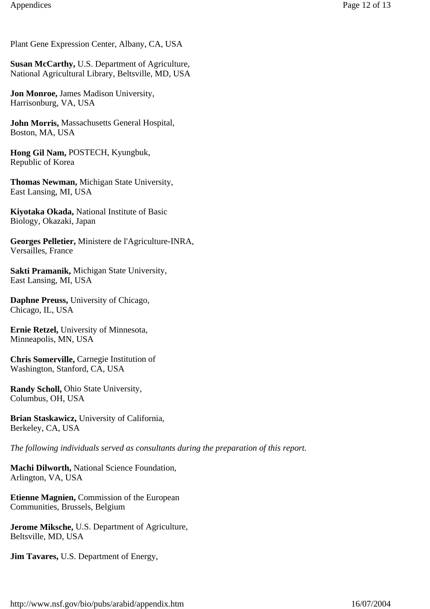Plant Gene Expression Center, Albany, CA, USA

**Susan McCarthy,** U.S. Department of Agriculture, National Agricultural Library, Beltsville, MD, USA

**Jon Monroe,** James Madison University, Harrisonburg, VA, USA

**John Morris,** Massachusetts General Hospital, Boston, MA, USA

**Hong Gil Nam,** POSTECH, Kyungbuk, Republic of Korea

**Thomas Newman,** Michigan State University, East Lansing, MI, USA

**Kiyotaka Okada,** National Institute of Basic Biology, Okazaki, Japan

**Georges Pelletier,** Ministere de l'Agriculture-INRA, Versailles, France

**Sakti Pramanik,** Michigan State University, East Lansing, MI, USA

**Daphne Preuss,** University of Chicago, Chicago, IL, USA

**Ernie Retzel,** University of Minnesota, Minneapolis, MN, USA

**Chris Somerville,** Carnegie Institution of Washington, Stanford, CA, USA

**Randy Scholl,** Ohio State University, Columbus, OH, USA

**Brian Staskawicz,** University of California, Berkeley, CA, USA

*The following individuals served as consultants during the preparation of this report.*

**Machi Dilworth,** National Science Foundation, Arlington, VA, USA

**Etienne Magnien,** Commission of the European Communities, Brussels, Belgium

**Jerome Miksche,** U.S. Department of Agriculture, Beltsville, MD, USA

**Jim Tavares,** U.S. Department of Energy,